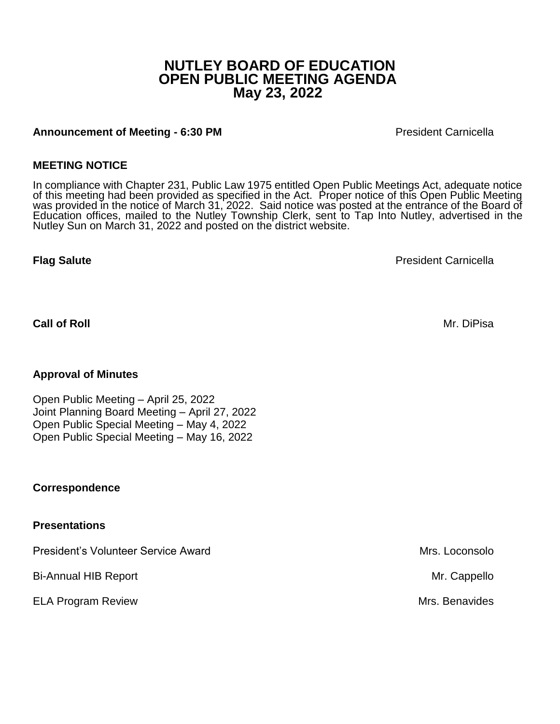# **NUTLEY BOARD OF EDUCATION OPEN PUBLIC MEETING AGENDA May 23, 2022**

## **Announcement of Meeting - 6:30 PM** President Carnicella

## **MEETING NOTICE**

In compliance with Chapter 231, Public Law 1975 entitled Open Public Meetings Act, adequate notice of this meeting had been provided as specified in the Act. Proper notice of this Open Public Meeting was provided in the notice of March 31, 2022. Said notice was posted at the entrance of the Board of Education offices, mailed to the Nutley Township Clerk, sent to Tap Into Nutley, advertised in the Nutley Sun on March 31, 2022 and posted on the district website.

**Flag Salute** President Carnicella

**Call of Roll** Mr. DiPisa

## **Approval of Minutes**

Open Public Meeting – April 25, 2022 Joint Planning Board Meeting – April 27, 2022 Open Public Special Meeting – May 4, 2022 Open Public Special Meeting – May 16, 2022

#### **Correspondence**

#### **Presentations**

President's Volunteer Service Award Number 1997 and Mrs. Loconsolo

Bi-Annual HIB Report **Mr. Cappello** 

ELA Program Review **Mrs. Benavides** And The Mrs. Benavides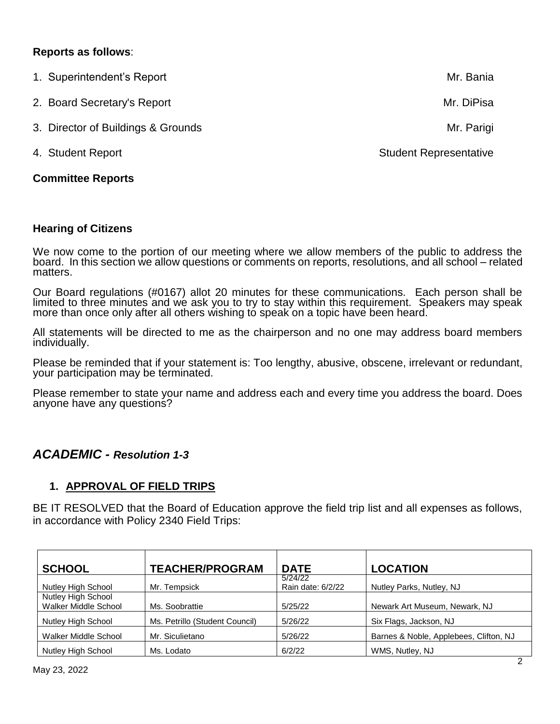## **Reports as follows**:

| <b>Committee Reports</b>           |                               |
|------------------------------------|-------------------------------|
| 4. Student Report                  | <b>Student Representative</b> |
| 3. Director of Buildings & Grounds | Mr. Parigi                    |
| 2. Board Secretary's Report        | Mr. DiPisa                    |
| 1. Superintendent's Report         | Mr. Bania                     |

#### **Hearing of Citizens**

We now come to the portion of our meeting where we allow members of the public to address the board. In this section we allow questions or comments on reports, resolutions, and all school – related matters.

Our Board regulations (#0167) allot 20 minutes for these communications. Each person shall be limited to three minutes and we ask you to try to stay within this requirement. Speakers may speak more than once only after all others wishing to speak on a topic have been heard.

All statements will be directed to me as the chairperson and no one may address board members individually.

Please be reminded that if your statement is: Too lengthy, abusive, obscene, irrelevant or redundant, your participation may be terminated.

Please remember to state your name and address each and every time you address the board. Does anyone have any questions?

## *ACADEMIC - Resolution 1-3*

## **1. APPROVAL OF FIELD TRIPS**

BE IT RESOLVED that the Board of Education approve the field trip list and all expenses as follows, in accordance with Policy 2340 Field Trips:

| <b>SCHOOL</b>                              | <b>TEACHER/PROGRAM</b>         | <b>DATE</b>                  | <b>LOCATION</b>                        |
|--------------------------------------------|--------------------------------|------------------------------|----------------------------------------|
| Nutley High School                         | Mr. Tempsick                   | 5/24/22<br>Rain date: 6/2/22 | Nutley Parks, Nutley, NJ               |
| Nutley High School<br>Walker Middle School | Ms. Soobrattie                 | 5/25/22                      | Newark Art Museum, Newark, NJ          |
| Nutley High School                         | Ms. Petrillo (Student Council) | 5/26/22                      | Six Flags, Jackson, NJ                 |
| Walker Middle School                       | Mr. Siculietano                | 5/26/22                      | Barnes & Noble, Applebees, Clifton, NJ |
| Nutley High School                         | Ms. Lodato                     | 6/2/22                       | WMS, Nutley, NJ                        |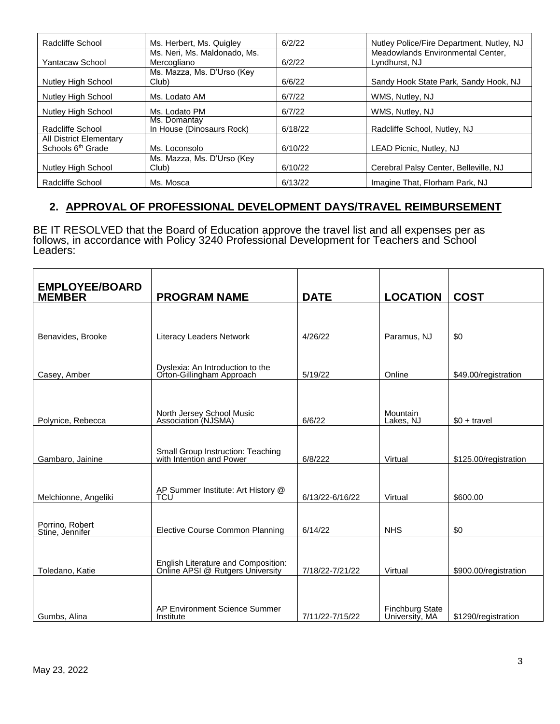| Radcliffe School              | Ms. Herbert, Ms. Quigley     | 6/2/22  | Nutley Police/Fire Department, Nutley, NJ |
|-------------------------------|------------------------------|---------|-------------------------------------------|
|                               | Ms. Neri, Ms. Maldonado, Ms. |         | Meadowlands Environmental Center,         |
| Yantacaw School               | Mercogliano                  | 6/2/22  | Lyndhurst, NJ                             |
|                               | Ms. Mazza, Ms. D'Urso (Key   |         |                                           |
| Nutley High School            | Club)                        | 6/6/22  | Sandy Hook State Park, Sandy Hook, NJ     |
| Nutley High School            | Ms. Lodato AM                | 6/7/22  | WMS, Nutley, NJ                           |
| Nutley High School            | Ms. Lodato PM                | 6/7/22  | WMS, Nutley, NJ                           |
|                               | Ms. Domantay                 |         |                                           |
| Radcliffe School              | In House (Dinosaurs Rock)    | 6/18/22 | Radcliffe School, Nutley, NJ              |
| All District Elementary       |                              |         |                                           |
| Schools 6 <sup>th</sup> Grade | Ms. Loconsolo                | 6/10/22 | LEAD Picnic, Nutley, NJ                   |
|                               | Ms. Mazza, Ms. D'Urso (Key   |         |                                           |
| Nutley High School            | Club)                        | 6/10/22 | Cerebral Palsy Center, Belleville, NJ     |
| Radcliffe School              | Ms. Mosca                    | 6/13/22 | Imagine That, Florham Park, NJ            |

## **2. APPROVAL OF PROFESSIONAL DEVELOPMENT DAYS/TRAVEL REIMBURSEMENT**

BE IT RESOLVED that the Board of Education approve the travel list and all expenses per as follows, in accordance with Policy 3240 Professional Development for Teachers and School Leaders:

| <b>EMPLOYEE/BOARD</b>              |                                                                         |                 |                                          |                       |
|------------------------------------|-------------------------------------------------------------------------|-----------------|------------------------------------------|-----------------------|
| <b>MEMBER</b>                      | <b>PROGRAM NAME</b>                                                     | <b>DATE</b>     | <b>LOCATION</b>                          | <b>COST</b>           |
| Benavides, Brooke                  | <b>Literacy Leaders Network</b>                                         | 4/26/22         | Paramus, NJ                              | \$0                   |
|                                    |                                                                         |                 |                                          |                       |
| Casey, Amber                       | Dyslexia: An Introduction to the<br>Orton-Gillingham Approach           | 5/19/22         | Online                                   | \$49.00/registration  |
| Polynice, Rebecca                  | North Jersey School Music<br>Association (NJSMA)                        | 6/6/22          | Mountain<br>Lakes, NJ                    | $$0 + travel$         |
|                                    |                                                                         |                 |                                          |                       |
| Gambaro, Jainine                   | Small Group Instruction: Teaching<br>with Intention and Power           | 6/8/222         | Virtual                                  | \$125.00/registration |
| Melchionne, Angeliki               | AP Summer Institute: Art History @<br>TCU                               | 6/13/22-6/16/22 | Virtual                                  | \$600.00              |
| Porrino, Robert<br>Stine, Jennifer | Elective Course Common Planning                                         | 6/14/22         | <b>NHS</b>                               | \$0                   |
| Toledano, Katie                    | English Literature and Composition:<br>Online APSI @ Rutgers University | 7/18/22-7/21/22 | Virtual                                  | \$900.00/registration |
| Gumbs, Alina                       | AP Environment Science Summer<br>Institute                              | 7/11/22-7/15/22 | <b>Finchburg State</b><br>University, MA | \$1290/registration   |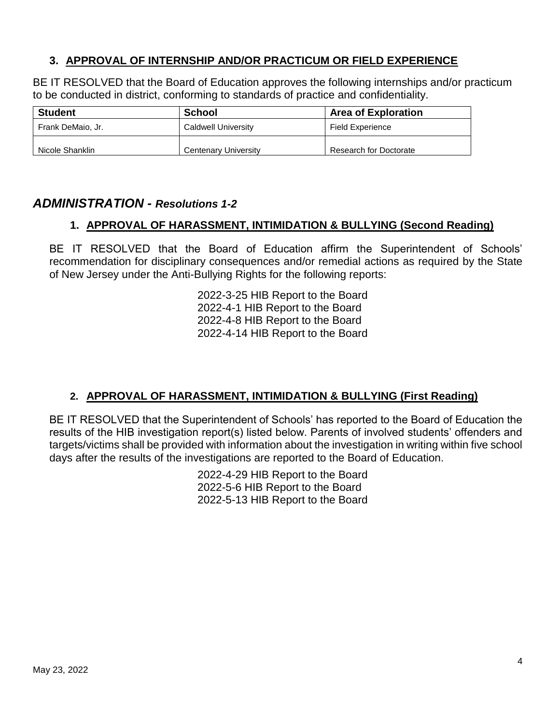## **3. APPROVAL OF INTERNSHIP AND/OR PRACTICUM OR FIELD EXPERIENCE**

BE IT RESOLVED that the Board of Education approves the following internships and/or practicum to be conducted in district, conforming to standards of practice and confidentiality.

| <b>Student</b>    | School               | <b>Area of Exploration</b> |
|-------------------|----------------------|----------------------------|
| Frank DeMaio, Jr. | Caldwell University  | Field Experience           |
| Nicole Shanklin   | Centenary University | Research for Doctorate     |

# *ADMINISTRATION - Resolutions 1-2*

## **1. APPROVAL OF HARASSMENT, INTIMIDATION & BULLYING (Second Reading)**

BE IT RESOLVED that the Board of Education affirm the Superintendent of Schools' recommendation for disciplinary consequences and/or remedial actions as required by the State of New Jersey under the Anti-Bullying Rights for the following reports:

> 2022-3-25 HIB Report to the Board 2022-4-1 HIB Report to the Board 2022-4-8 HIB Report to the Board 2022-4-14 HIB Report to the Board

# **2. APPROVAL OF HARASSMENT, INTIMIDATION & BULLYING (First Reading)**

BE IT RESOLVED that the Superintendent of Schools' has reported to the Board of Education the results of the HIB investigation report(s) listed below. Parents of involved students' offenders and targets/victims shall be provided with information about the investigation in writing within five school days after the results of the investigations are reported to the Board of Education.

> 2022-4-29 HIB Report to the Board 2022-5-6 HIB Report to the Board 2022-5-13 HIB Report to the Board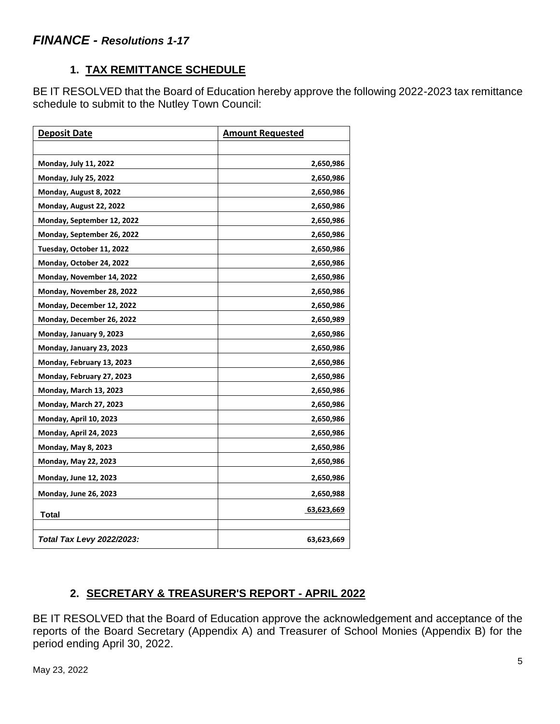# **1. TAX REMITTANCE SCHEDULE**

BE IT RESOLVED that the Board of Education hereby approve the following 2022-2023 tax remittance schedule to submit to the Nutley Town Council:

| <b>Deposit Date</b>              | <b>Amount Requested</b> |
|----------------------------------|-------------------------|
|                                  |                         |
| Monday, July 11, 2022            | 2,650,986               |
| <b>Monday, July 25, 2022</b>     | 2,650,986               |
| Monday, August 8, 2022           | 2,650,986               |
| Monday, August 22, 2022          | 2,650,986               |
| Monday, September 12, 2022       | 2,650,986               |
| Monday, September 26, 2022       | 2,650,986               |
| Tuesday, October 11, 2022        | 2,650,986               |
| Monday, October 24, 2022         | 2,650,986               |
| Monday, November 14, 2022        | 2,650,986               |
| Monday, November 28, 2022        | 2,650,986               |
| Monday, December 12, 2022        | 2,650,986               |
| Monday, December 26, 2022        | 2,650,989               |
| Monday, January 9, 2023          | 2,650,986               |
| Monday, January 23, 2023         | 2,650,986               |
| Monday, February 13, 2023        | 2,650,986               |
| Monday, February 27, 2023        | 2,650,986               |
| Monday, March 13, 2023           | 2,650,986               |
| Monday, March 27, 2023           | 2,650,986               |
| Monday, April 10, 2023           | 2,650,986               |
| Monday, April 24, 2023           | 2,650,986               |
| <b>Monday, May 8, 2023</b>       | 2,650,986               |
| Monday, May 22, 2023             | 2,650,986               |
| Monday, June 12, 2023            | 2,650,986               |
| <b>Monday, June 26, 2023</b>     | 2,650,988               |
| <b>Total</b>                     | 63,623,669              |
|                                  |                         |
| <b>Total Tax Levy 2022/2023:</b> | 63,623,669              |

# **2. SECRETARY & TREASURER'S REPORT - APRIL 2022**

BE IT RESOLVED that the Board of Education approve the acknowledgement and acceptance of the reports of the Board Secretary (Appendix A) and Treasurer of School Monies (Appendix B) for the period ending April 30, 2022.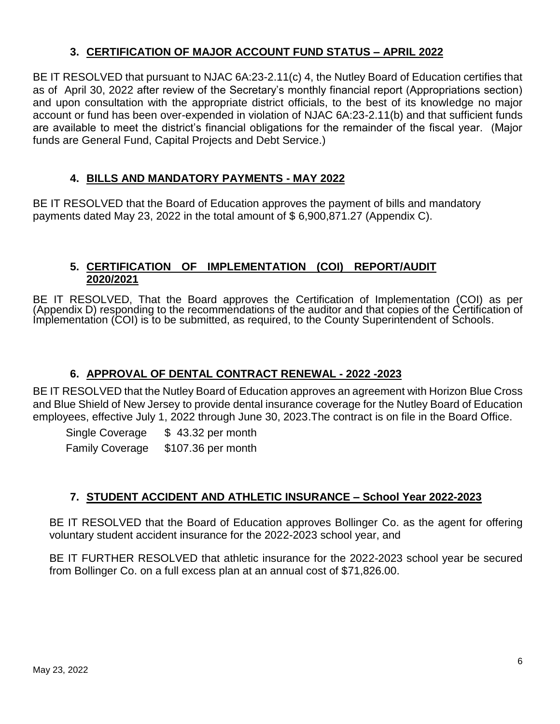# **3. CERTIFICATION OF MAJOR ACCOUNT FUND STATUS – APRIL 2022**

BE IT RESOLVED that pursuant to NJAC 6A:23-2.11(c) 4, the Nutley Board of Education certifies that as of April 30, 2022 after review of the Secretary's monthly financial report (Appropriations section) and upon consultation with the appropriate district officials, to the best of its knowledge no major account or fund has been over-expended in violation of NJAC 6A:23-2.11(b) and that sufficient funds are available to meet the district's financial obligations for the remainder of the fiscal year. (Major funds are General Fund, Capital Projects and Debt Service.)

## **4. BILLS AND MANDATORY PAYMENTS - MAY 2022**

BE IT RESOLVED that the Board of Education approves the payment of bills and mandatory payments dated May 23, 2022 in the total amount of \$ 6,900,871.27 (Appendix C).

## **5. CERTIFICATION OF IMPLEMENTATION (COI) REPORT/AUDIT 2020/2021**

BE IT RESOLVED, That the Board approves the Certification of Implementation (COI) as per (Appendix D) responding to the recommendations of the auditor and that copies of the Certification of Implementation (COI) is to be submitted, as required, to the County Superintendent of Schools.

## **6. APPROVAL OF DENTAL CONTRACT RENEWAL - 2022 -2023**

BE IT RESOLVED that the Nutley Board of Education approves an agreement with Horizon Blue Cross and Blue Shield of New Jersey to provide dental insurance coverage for the Nutley Board of Education employees, effective July 1, 2022 through June 30, 2023.The contract is on file in the Board Office.

Single Coverage  $$43.32$  per month Family Coverage \$107.36 per month

# **7. STUDENT ACCIDENT AND ATHLETIC INSURANCE – School Year 2022-2023**

BE IT RESOLVED that the Board of Education approves Bollinger Co. as the agent for offering voluntary student accident insurance for the 2022-2023 school year, and

BE IT FURTHER RESOLVED that athletic insurance for the 2022-2023 school year be secured from Bollinger Co. on a full excess plan at an annual cost of \$71,826.00.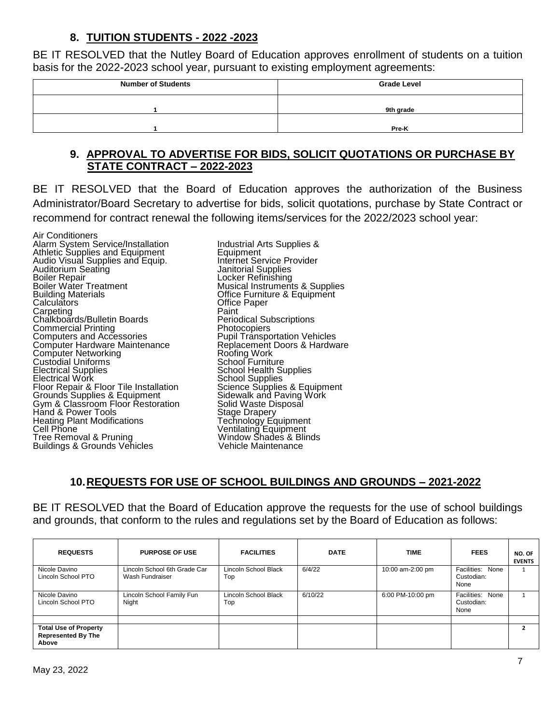## **8. TUITION STUDENTS - 2022 -2023**

BE IT RESOLVED that the Nutley Board of Education approves enrollment of students on a tuition basis for the 2022-2023 school year, pursuant to existing employment agreements:

| <b>Number of Students</b> | <b>Grade Level</b> |
|---------------------------|--------------------|
|                           | 9th grade          |
|                           | Pre-K              |

## **9. APPROVAL TO ADVERTISE FOR BIDS, SOLICIT QUOTATIONS OR PURCHASE BY STATE CONTRACT – 2022-2023**

BE IT RESOLVED that the Board of Education approves the authorization of the Business Administrator/Board Secretary to advertise for bids, solicit quotations, purchase by State Contract or recommend for contract renewal the following items/services for the 2022/2023 school year:

Air Conditioners Alarm System Service/Installation and Industrial Arts Supplies & Athletic Supplies & Athletic Supplies and Equipment Audio Visual Supplies and Equip.<br>Auditorium Seating Audio Visual Supplies and Equip.<br>
Audio Visual Supplies and Equip.<br>
Auditorium Seating<br>
Boiler Repair<br>
Boiler Repair<br>
Locker Refinishing **Boiler Repair Communist Control Control Control Control Control Control Control Control Control Control Control Control Control Control Control Control Control Control Control Control Control Control Control Control Contr** Boiler Water Treatment Musical Instruments & Supplies<br>Building Materials Musical Office Furniture & Equipment Building Materials **Building Materials** Office Furniture & Equipment Calculators Carpeting<br>
Chalkboards/Bulletin Boards
Periodical Subscriptions Chalkboards/Bulletin Boards<br>
Commercial Printing<br>
Photocopiers Commercial Printing<br>Computers and Accessories Computers and Accessories<br>
Computer Hardware Maintenance<br>
Replacement Doors & Hardwa Computer Networking Custodial Uniforms<br>Electrical Supplies Electrical Supplies<br>
Electrical Work School Supplies<br>
School Supplies<br>
School Supplies Floor Repair & Floor Tile Installation Science Supplies & Equipment Grounds Supplies & Equipment Sidewalk and Paving Work Grounds Supplies & Equipment Sidewalk and Paving Work<br>Gym & Classroom Floor Restoration Solid Waste Disposal<br>Hand & Power Tools Stage Drapery Hand & Power Tools Stage Drapery Heating Plant Modifications<br>Cell Phone Cell Phone **Ventilating Equipment** Tree Removal & Pruning Window Shades & Blinds Tree Removal & Pruning<br>Buildings & Grounds Vehicles Vehicle Maintenance

Office Paper<br>Paint Replacement Doors & Hardware<br>Roofing Work<br>School Furniture School Supplies<br>Science Supplies & Equipment

# **10.REQUESTS FOR USE OF SCHOOL BUILDINGS AND GROUNDS – 2021-2022**

BE IT RESOLVED that the Board of Education approve the requests for the use of school buildings and grounds, that conform to the rules and regulations set by the Board of Education as follows:

| <b>REQUESTS</b>                                                    | <b>PURPOSE OF USE</b>                           | <b>FACILITIES</b>           | <b>DATE</b> | <b>TIME</b>      | <b>FEES</b>                            | NO. OF<br><b>EVENTS</b> |
|--------------------------------------------------------------------|-------------------------------------------------|-----------------------------|-------------|------------------|----------------------------------------|-------------------------|
| Nicole Davino<br>Lincoln School PTO                                | Lincoln School 6th Grade Car<br>Wash Fundraiser | Lincoln School Black<br>Top | 6/4/22      | 10:00 am-2:00 pm | Facilities: None<br>Custodian:<br>None |                         |
| Nicole Davino<br>Lincoln School PTO                                | Lincoln School Family Fun<br>Night              | Lincoln School Black<br>Top | 6/10/22     | 6:00 PM-10:00 pm | Facilities: None<br>Custodian:<br>None |                         |
|                                                                    |                                                 |                             |             |                  |                                        |                         |
| <b>Total Use of Property</b><br><b>Represented By The</b><br>Above |                                                 |                             |             |                  |                                        |                         |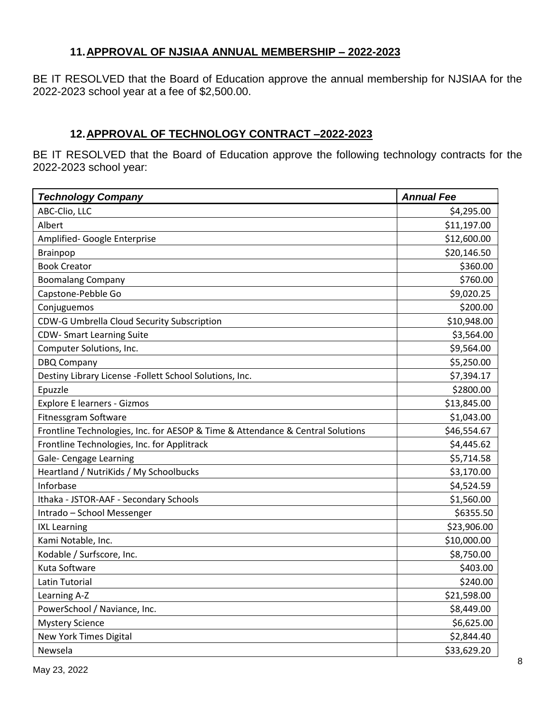## **11.APPROVAL OF NJSIAA ANNUAL MEMBERSHIP – 2022-2023**

BE IT RESOLVED that the Board of Education approve the annual membership for NJSIAA for the 2022-2023 school year at a fee of \$2,500.00.

# **12.APPROVAL OF TECHNOLOGY CONTRACT –2022-2023**

BE IT RESOLVED that the Board of Education approve the following technology contracts for the 2022-2023 school year:

| <b>Technology Company</b>                                                      | <b>Annual Fee</b> |
|--------------------------------------------------------------------------------|-------------------|
| ABC-Clio, LLC                                                                  | \$4,295.00        |
| Albert                                                                         | \$11,197.00       |
| Amplified- Google Enterprise                                                   | \$12,600.00       |
| Brainpop                                                                       | \$20,146.50       |
| <b>Book Creator</b>                                                            | \$360.00          |
| <b>Boomalang Company</b>                                                       | \$760.00          |
| Capstone-Pebble Go                                                             | \$9,020.25        |
| Conjuguemos                                                                    | \$200.00          |
| CDW-G Umbrella Cloud Security Subscription                                     | \$10,948.00       |
| <b>CDW- Smart Learning Suite</b>                                               | \$3,564.00        |
| Computer Solutions, Inc.                                                       | \$9,564.00        |
| <b>DBQ Company</b>                                                             | \$5,250.00        |
| Destiny Library License -Follett School Solutions, Inc.                        | \$7,394.17        |
| Epuzzle                                                                        | \$2800.00         |
| <b>Explore E learners - Gizmos</b>                                             | \$13,845.00       |
| Fitnessgram Software                                                           | \$1,043.00        |
| Frontline Technologies, Inc. for AESOP & Time & Attendance & Central Solutions | \$46,554.67       |
| Frontline Technologies, Inc. for Applitrack                                    | \$4,445.62        |
| Gale- Cengage Learning                                                         | \$5,714.58        |
| Heartland / NutriKids / My Schoolbucks                                         | \$3,170.00        |
| Inforbase                                                                      | \$4,524.59        |
| Ithaka - JSTOR-AAF - Secondary Schools                                         | \$1,560.00        |
| Intrado - School Messenger                                                     | \$6355.50         |
| <b>IXL Learning</b>                                                            | \$23,906.00       |
| Kami Notable, Inc.                                                             | \$10,000.00       |
| Kodable / Surfscore, Inc.                                                      | \$8,750.00        |
| Kuta Software                                                                  | \$403.00          |
| Latin Tutorial                                                                 | \$240.00          |
| Learning A-Z                                                                   | \$21,598.00       |
| PowerSchool / Naviance, Inc.                                                   | \$8,449.00        |
| <b>Mystery Science</b>                                                         | \$6,625.00        |
| New York Times Digital                                                         | \$2,844.40        |
| Newsela                                                                        | \$33,629.20       |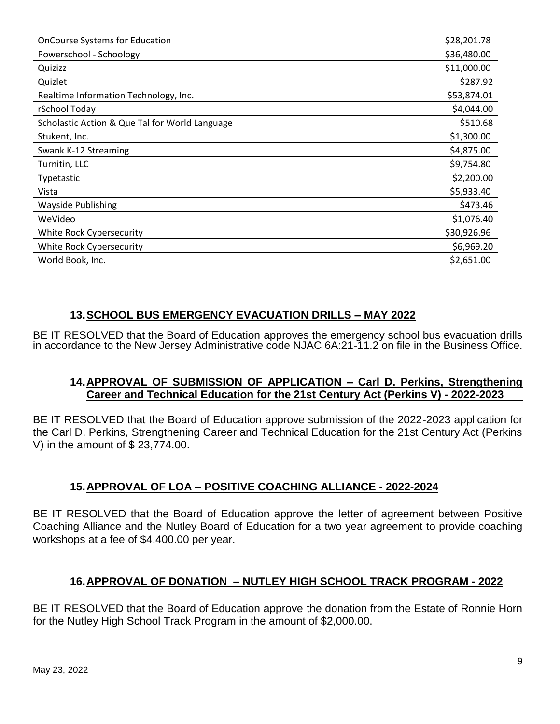| <b>OnCourse Systems for Education</b>          | \$28,201.78 |
|------------------------------------------------|-------------|
| Powerschool - Schoology                        | \$36,480.00 |
| Quizizz                                        | \$11,000.00 |
| Quizlet                                        | \$287.92    |
| Realtime Information Technology, Inc.          | \$53,874.01 |
| rSchool Today                                  | \$4,044.00  |
| Scholastic Action & Que Tal for World Language | \$510.68    |
| Stukent, Inc.                                  | \$1,300.00  |
| Swank K-12 Streaming                           | \$4,875.00  |
| Turnitin, LLC                                  | \$9,754.80  |
| Typetastic                                     | \$2,200.00  |
| Vista                                          | \$5,933.40  |
| <b>Wayside Publishing</b>                      | \$473.46    |
| WeVideo                                        | \$1,076.40  |
| White Rock Cybersecurity                       | \$30,926.96 |
| White Rock Cybersecurity                       | \$6,969.20  |
| World Book, Inc.                               | \$2,651.00  |

## **13.SCHOOL BUS EMERGENCY EVACUATION DRILLS – MAY 2022**

BE IT RESOLVED that the Board of Education approves the emergency school bus evacuation drills in accordance to the New Jersey Administrative code NJAC 6A:21-11.2 on file in the Business Office.

## **14.APPROVAL OF SUBMISSION OF APPLICATION – Carl D. Perkins, Strengthening Career and Technical Education for the 21st Century Act (Perkins V) - 2022-2023**

BE IT RESOLVED that the Board of Education approve submission of the 2022-2023 application for the Carl D. Perkins, Strengthening Career and Technical Education for the 21st Century Act (Perkins V) in the amount of \$ 23,774.00.

## **15.APPROVAL OF LOA – POSITIVE COACHING ALLIANCE - 2022-2024**

BE IT RESOLVED that the Board of Education approve the letter of agreement between Positive Coaching Alliance and the Nutley Board of Education for a two year agreement to provide coaching workshops at a fee of \$4,400.00 per year.

## **16.APPROVAL OF DONATION – NUTLEY HIGH SCHOOL TRACK PROGRAM - 2022**

BE IT RESOLVED that the Board of Education approve the donation from the Estate of Ronnie Horn for the Nutley High School Track Program in the amount of \$2,000.00.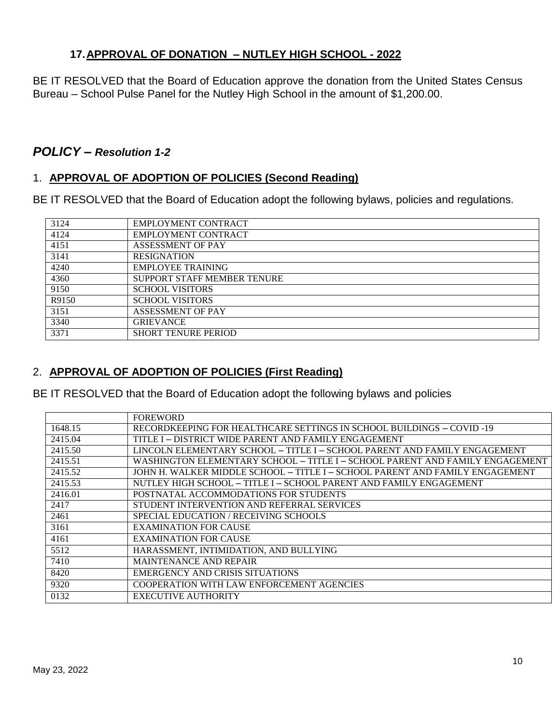## **17.APPROVAL OF DONATION – NUTLEY HIGH SCHOOL - 2022**

BE IT RESOLVED that the Board of Education approve the donation from the United States Census Bureau – School Pulse Panel for the Nutley High School in the amount of \$1,200.00.

## *POLICY – Resolution 1-2*

## 1. **APPROVAL OF ADOPTION OF POLICIES (Second Reading)**

BE IT RESOLVED that the Board of Education adopt the following bylaws, policies and regulations.

| 3124  | <b>EMPLOYMENT CONTRACT</b>  |
|-------|-----------------------------|
| 4124  | <b>EMPLOYMENT CONTRACT</b>  |
| 4151  | <b>ASSESSMENT OF PAY</b>    |
| 3141  | <b>RESIGNATION</b>          |
| 4240  | <b>EMPLOYEE TRAINING</b>    |
| 4360  | SUPPORT STAFF MEMBER TENURE |
| 9150  | <b>SCHOOL VISITORS</b>      |
| R9150 | <b>SCHOOL VISITORS</b>      |
| 3151  | <b>ASSESSMENT OF PAY</b>    |
| 3340  | <b>GRIEVANCE</b>            |
| 3371  | <b>SHORT TENURE PERIOD</b>  |

## 2. **APPROVAL OF ADOPTION OF POLICIES (First Reading)**

BE IT RESOLVED that the Board of Education adopt the following bylaws and policies

|         | <b>FOREWORD</b>                                                              |
|---------|------------------------------------------------------------------------------|
| 1648.15 | RECORDKEEPING FOR HEALTHCARE SETTINGS IN SCHOOL BUILDINGS - COVID-19         |
| 2415.04 | TITLE I – DISTRICT WIDE PARENT AND FAMILY ENGAGEMENT                         |
| 2415.50 | LINCOLN ELEMENTARY SCHOOL – TITLE I – SCHOOL PARENT AND FAMILY ENGAGEMENT    |
| 2415.51 | WASHINGTON ELEMENTARY SCHOOL – TITLE I – SCHOOL PARENT AND FAMILY ENGAGEMENT |
| 2415.52 | JOHN H. WALKER MIDDLE SCHOOL – TITLE I – SCHOOL PARENT AND FAMILY ENGAGEMENT |
| 2415.53 | NUTLEY HIGH SCHOOL – TITLE I – SCHOOL PARENT AND FAMILY ENGAGEMENT           |
| 2416.01 | POSTNATAL ACCOMMODATIONS FOR STUDENTS                                        |
| 2417    | STUDENT INTERVENTION AND REFERRAL SERVICES                                   |
| 2461    | SPECIAL EDUCATION / RECEIVING SCHOOLS                                        |
| 3161    | <b>EXAMINATION FOR CAUSE</b>                                                 |
| 4161    | <b>EXAMINATION FOR CAUSE</b>                                                 |
| 5512    | HARASSMENT, INTIMIDATION, AND BULLYING                                       |
| 7410    | <b>MAINTENANCE AND REPAIR</b>                                                |
| 8420    | EMERGENCY AND CRISIS SITUATIONS                                              |
| 9320    | COOPERATION WITH LAW ENFORCEMENT AGENCIES                                    |
| 0132    | <b>EXECUTIVE AUTHORITY</b>                                                   |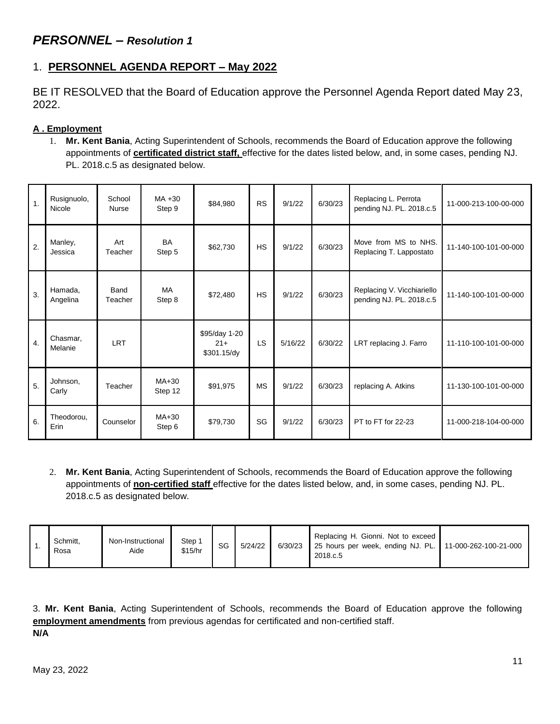# *PERSONNEL – Resolution 1*

# 1. **PERSONNEL AGENDA REPORT – May 2022**

BE IT RESOLVED that the Board of Education approve the Personnel Agenda Report dated May 23, 2022.

## **A . Employment**

1. **Mr. Kent Bania**, Acting Superintendent of Schools, recommends the Board of Education approve the following appointments of **certificated district staff,** effective for the dates listed below, and, in some cases, pending NJ. PL. 2018.c.5 as designated below.

| $\overline{1}$ . | Rusignuolo,<br>Nicole | School<br>Nurse | $MA + 30$<br>Step 9 | \$84,980                              | <b>RS</b> | 9/1/22  | 6/30/23 | Replacing L. Perrota<br>pending NJ. PL. 2018.c.5       | 11-000-213-100-00-000 |
|------------------|-----------------------|-----------------|---------------------|---------------------------------------|-----------|---------|---------|--------------------------------------------------------|-----------------------|
| 2.               | Manley,<br>Jessica    | Art<br>Teacher  | <b>BA</b><br>Step 5 | \$62,730                              | <b>HS</b> | 9/1/22  | 6/30/23 | Move from MS to NHS.<br>Replacing T. Lappostato        | 11-140-100-101-00-000 |
| 3.               | Hamada,<br>Angelina   | Band<br>Teacher | <b>MA</b><br>Step 8 | \$72,480                              | <b>HS</b> | 9/1/22  | 6/30/23 | Replacing V. Vicchiariello<br>pending NJ. PL. 2018.c.5 | 11-140-100-101-00-000 |
| $\overline{4}$ . | Chasmar.<br>Melanie   | <b>LRT</b>      |                     | \$95/day 1-20<br>$21+$<br>\$301.15/dy | LS        | 5/16/22 | 6/30/22 | LRT replacing J. Farro                                 | 11-110-100-101-00-000 |
| 5.               | Johnson,<br>Carly     | Teacher         | $MA+30$<br>Step 12  | \$91,975                              | <b>MS</b> | 9/1/22  | 6/30/23 | replacing A. Atkins                                    | 11-130-100-101-00-000 |
| 6.               | Theodorou,<br>Erin    | Counselor       | MA+30<br>Step 6     | \$79,730                              | SG        | 9/1/22  | 6/30/23 | PT to FT for 22-23                                     | 11-000-218-104-00-000 |

2. **Mr. Kent Bania**, Acting Superintendent of Schools, recommends the Board of Education approve the following appointments of **non-certified staff** effective for the dates listed below, and, in some cases, pending NJ. PL. 2018.c.5 as designated below.

|  | Schmitt,<br>Rosa | Non-Instructional<br>Aide | Step 1<br>\$15/hr | SG | 5/24/22 | 6/30/23 | Replacing H. Gionni. Not to exceed<br>25 hours per week, ending NJ. PL. 11-000-262-100-21-000<br>2018.c.5 |  |
|--|------------------|---------------------------|-------------------|----|---------|---------|-----------------------------------------------------------------------------------------------------------|--|
|--|------------------|---------------------------|-------------------|----|---------|---------|-----------------------------------------------------------------------------------------------------------|--|

3. **Mr. Kent Bania**, Acting Superintendent of Schools, recommends the Board of Education approve the following **employment amendments** from previous agendas for certificated and non-certified staff. **N/A**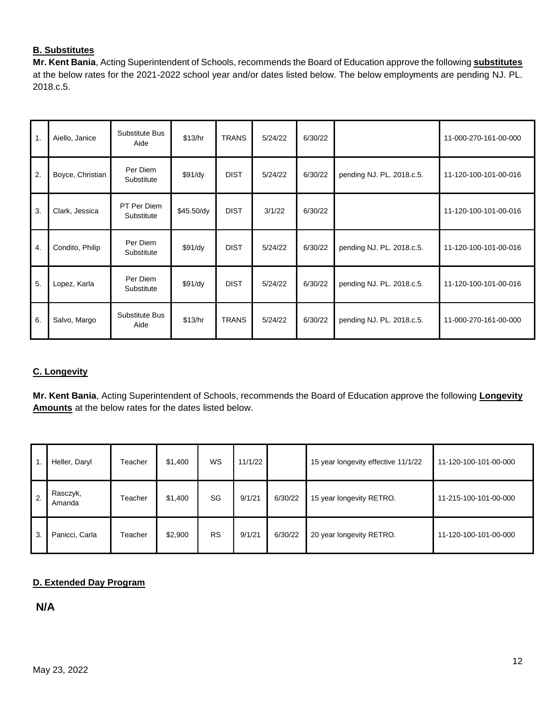## **B. Substitutes**

**Mr. Kent Bania**, Acting Superintendent of Schools, recommends the Board of Education approve the following **substitutes** at the below rates for the 2021-2022 school year and/or dates listed below. The below employments are pending NJ. PL. 2018.c.5.

| $\mathbf 1$ . | Aiello, Janice   | Substitute Bus<br>Aide    | \$13/hr    | <b>TRANS</b> | 5/24/22 | 6/30/22 |                           | 11-000-270-161-00-000 |
|---------------|------------------|---------------------------|------------|--------------|---------|---------|---------------------------|-----------------------|
| 2.            | Boyce, Christian | Per Diem<br>Substitute    | \$91/dy    | <b>DIST</b>  | 5/24/22 | 6/30/22 | pending NJ. PL. 2018.c.5. | 11-120-100-101-00-016 |
| 3.            | Clark, Jessica   | PT Per Diem<br>Substitute | \$45.50/dy | <b>DIST</b>  | 3/1/22  | 6/30/22 |                           | 11-120-100-101-00-016 |
| 4.            | Condito, Philip  | Per Diem<br>Substitute    | \$91/dy    | <b>DIST</b>  | 5/24/22 | 6/30/22 | pending NJ. PL. 2018.c.5. | 11-120-100-101-00-016 |
| 5.            | Lopez, Karla     | Per Diem<br>Substitute    | \$91/dy    | <b>DIST</b>  | 5/24/22 | 6/30/22 | pending NJ. PL. 2018.c.5. | 11-120-100-101-00-016 |
| 6.            | Salvo, Margo     | Substitute Bus<br>Aide    | \$13/hr    | <b>TRANS</b> | 5/24/22 | 6/30/22 | pending NJ. PL. 2018.c.5. | 11-000-270-161-00-000 |

#### **C. Longevity**

**Mr. Kent Bania**, Acting Superintendent of Schools, recommends the Board of Education approve the following **Longevity Amounts** at the below rates for the dates listed below.

| $\cdot$ 1. | Heller, Daryl      | Teacher | \$1,400 | WS        | 11/1/22 |         | 15 year longevity effective 11/1/22 | 11-120-100-101-00-000 |
|------------|--------------------|---------|---------|-----------|---------|---------|-------------------------------------|-----------------------|
| 2.         | Rasczyk,<br>Amanda | Teacher | \$1,400 | SG        | 9/1/21  | 6/30/22 | 15 year longevity RETRO.            | 11-215-100-101-00-000 |
| 3.         | Panicci, Carla     | Teacher | \$2,900 | <b>RS</b> | 9/1/21  | 6/30/22 | 20 year longevity RETRO.            | 11-120-100-101-00-000 |

#### **D. Extended Day Program**

**N/A**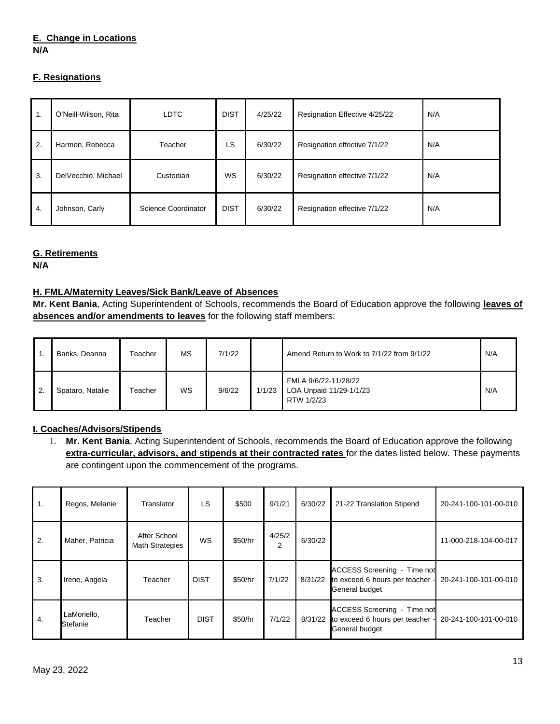#### **E. Change in Locations N/A**

#### **F. Resignations**

| $\overline{1}$ . | O'Neill-Wilson, Rita | <b>LDTC</b>         | <b>DIST</b> | 4/25/22 | Resignation Effective 4/25/22 | N/A |
|------------------|----------------------|---------------------|-------------|---------|-------------------------------|-----|
| 2.               | Harmon, Rebecca      | Teacher             | LS          | 6/30/22 | Resignation effective 7/1/22  | N/A |
| 3.               | DelVecchio, Michael  | Custodian           | WS          | 6/30/22 | Resignation effective 7/1/22  | N/A |
| 4.               | Johnson, Carly       | Science Coordinator | <b>DIST</b> | 6/30/22 | Resignation effective 7/1/22  | N/A |

#### **G. Retirements**

**N/A**

#### **H. FMLA/Maternity Leaves/Sick Bank/Leave of Absences**

**Mr. Kent Bania**, Acting Superintendent of Schools, recommends the Board of Education approve the following **leaves of absences and/or amendments to leaves** for the following staff members:

|    | Banks, Deanna    | Teacher | МS        | 7/1/22 |        | Amend Return to Work to 7/1/22 from 9/1/22                    | N/A |
|----|------------------|---------|-----------|--------|--------|---------------------------------------------------------------|-----|
| 2. | Spataro, Natalie | Teacher | <b>WS</b> | 9/6/22 | 1/1/23 | FMLA 9/6/22-11/28/22<br>LOA Unpaid 11/29-1/1/23<br>RTW 1/2/23 | N/A |

#### **I. Coaches/Advisors/Stipends**

1. **Mr. Kent Bania**, Acting Superintendent of Schools, recommends the Board of Education approve the following **extra-curricular, advisors, and stipends at their contracted rates** for the dates listed below. These payments are contingent upon the commencement of the programs.

| 1. | Regos, Melanie          | Translator                             | LS          | \$500   | 9/1/21      | 6/30/22 | 21-22 Translation Stipend                                                             | 20-241-100-101-00-010 |
|----|-------------------------|----------------------------------------|-------------|---------|-------------|---------|---------------------------------------------------------------------------------------|-----------------------|
| 2. | Maher, Patricia         | After School<br><b>Math Strategies</b> | WS          | \$50/hr | 4/25/2<br>2 | 6/30/22 |                                                                                       | 11-000-218-104-00-017 |
| 3. | Irene, Angela           | Teacher                                | <b>DIST</b> | \$50/hr | 7/1/22      | 8/31/22 | ACCESS Screening - Time not<br>to exceed 6 hours per teacher<br>General budget        | 20-241-100-101-00-010 |
| 4. | LaMoriello,<br>Stefanie | Teacher                                | <b>DIST</b> | \$50/hr | 7/1/22      | 8/31/22 | <b>ACCESS Screening - Time not</b><br>to exceed 6 hours per teacher<br>General budget | 20-241-100-101-00-010 |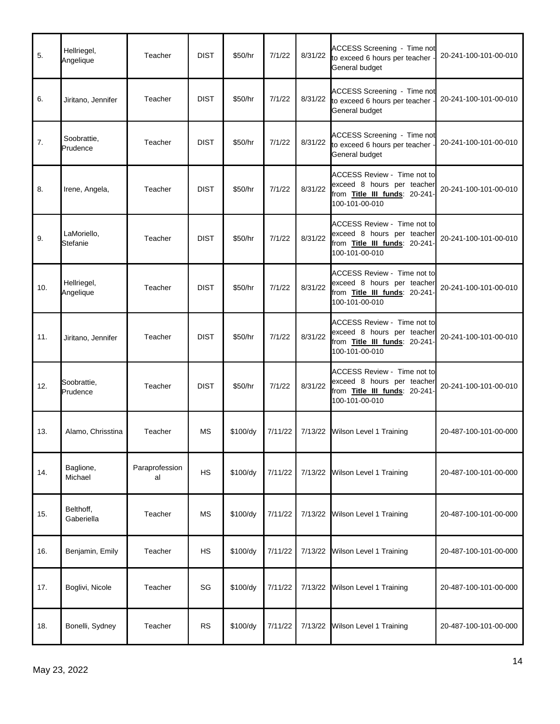| 5.  | Hellriegel,<br>Angelique | Teacher              | <b>DIST</b> | \$50/hr  | 7/1/22  | 8/31/22 | ACCESS Screening - Time not<br>to exceed 6 hours per teacher<br>General budget                                      | 20-241-100-101-00-010 |
|-----|--------------------------|----------------------|-------------|----------|---------|---------|---------------------------------------------------------------------------------------------------------------------|-----------------------|
| 6.  | Jiritano, Jennifer       | Teacher              | <b>DIST</b> | \$50/hr  | 7/1/22  | 8/31/22 | <b>ACCESS Screening - Time not</b><br>to exceed 6 hours per teacher<br>General budget                               | 20-241-100-101-00-010 |
| 7.  | Soobrattie,<br>Prudence  | Teacher              | <b>DIST</b> | \$50/hr  | 7/1/22  | 8/31/22 | <b>ACCESS Screening - Time not</b><br>to exceed 6 hours per teacher<br>General budget                               | 20-241-100-101-00-010 |
| 8.  | Irene, Angela,           | Teacher              | <b>DIST</b> | \$50/hr  | 7/1/22  | 8/31/22 | ACCESS Review - Time not to<br>exceed 8 hours per teacher<br>from Title III funds: 20-241-<br>100-101-00-010        | 20-241-100-101-00-010 |
| 9.  | LaMoriello,<br>Stefanie  | Teacher              | <b>DIST</b> | \$50/hr  | 7/1/22  | 8/31/22 | ACCESS Review - Time not to<br>exceed 8 hours per teacher<br>from Title III funds: 20-241-<br>100-101-00-010        | 20-241-100-101-00-010 |
| 10. | Hellriegel,<br>Angelique | Teacher              | <b>DIST</b> | \$50/hr  | 7/1/22  | 8/31/22 | <b>ACCESS Review - Time not to</b><br>exceed 8 hours per teacher<br>from Title III funds: 20-241-<br>100-101-00-010 | 20-241-100-101-00-010 |
| 11. | Jiritano, Jennifer       | Teacher              | <b>DIST</b> | \$50/hr  | 7/1/22  | 8/31/22 | <b>ACCESS Review - Time not to</b><br>exceed 8 hours per teacher<br>from Title III funds: 20-241-<br>100-101-00-010 | 20-241-100-101-00-010 |
| 12. | Soobrattie,<br>Prudence  | Teacher              | <b>DIST</b> | \$50/hr  | 7/1/22  | 8/31/22 | ACCESS Review - Time not to<br>exceed 8 hours per teacher<br>from Title III funds: 20-241-<br>100-101-00-010        | 20-241-100-101-00-010 |
| 13. | Alamo, Chrisstina        | Teacher              | MS          | \$100/dy | 7/11/22 | 7/13/22 | Wilson Level 1 Training                                                                                             | 20-487-100-101-00-000 |
| 14. | Baglione,<br>Michael     | Paraprofession<br>al | <b>HS</b>   | \$100/dy | 7/11/22 |         | 7/13/22 Wilson Level 1 Training                                                                                     | 20-487-100-101-00-000 |
| 15. | Belthoff,<br>Gaberiella  | Teacher              | <b>MS</b>   | \$100/dy | 7/11/22 | 7/13/22 | Wilson Level 1 Training                                                                                             | 20-487-100-101-00-000 |
| 16. | Benjamin, Emily          | Teacher              | <b>HS</b>   | \$100/dy | 7/11/22 | 7/13/22 | Wilson Level 1 Training                                                                                             | 20-487-100-101-00-000 |
| 17. | Boglivi, Nicole          | Teacher              | SG          | \$100/dy | 7/11/22 | 7/13/22 | Wilson Level 1 Training                                                                                             | 20-487-100-101-00-000 |
| 18. | Bonelli, Sydney          | Teacher              | <b>RS</b>   | \$100/dy | 7/11/22 | 7/13/22 | Wilson Level 1 Training                                                                                             | 20-487-100-101-00-000 |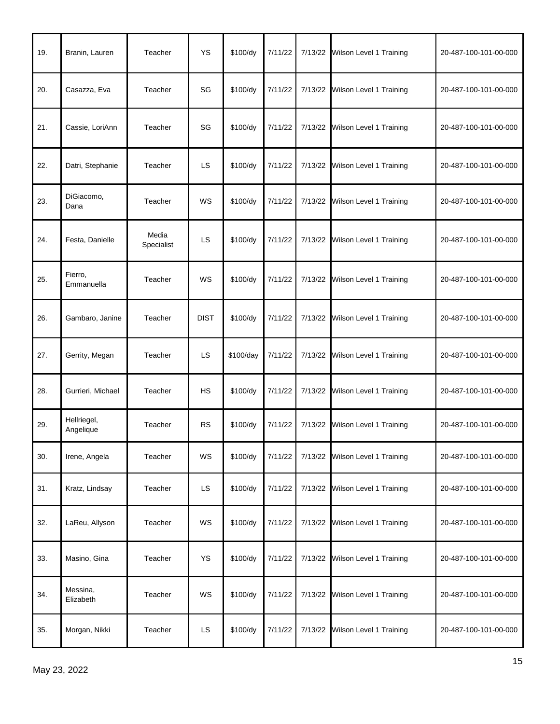| 19. | Branin, Lauren           | Teacher             | <b>YS</b>   | \$100/dy  | 7/11/22 |         | 7/13/22 Wilson Level 1 Training | 20-487-100-101-00-000 |
|-----|--------------------------|---------------------|-------------|-----------|---------|---------|---------------------------------|-----------------------|
| 20. | Casazza, Eva             | Teacher             | SG          | \$100/dy  | 7/11/22 | 7/13/22 | Wilson Level 1 Training         | 20-487-100-101-00-000 |
| 21. | Cassie, LoriAnn          | Teacher             | SG          | \$100/dy  | 7/11/22 |         | 7/13/22 Wilson Level 1 Training | 20-487-100-101-00-000 |
| 22. | Datri, Stephanie         | Teacher             | <b>LS</b>   | \$100/dy  | 7/11/22 |         | 7/13/22 Wilson Level 1 Training | 20-487-100-101-00-000 |
| 23. | DiGiacomo,<br>Dana       | Teacher             | WS          | \$100/dy  | 7/11/22 | 7/13/22 | Wilson Level 1 Training         | 20-487-100-101-00-000 |
| 24. | Festa, Danielle          | Media<br>Specialist | LS.         | \$100/dy  | 7/11/22 |         | 7/13/22 Wilson Level 1 Training | 20-487-100-101-00-000 |
| 25. | Fierro,<br>Emmanuella    | Teacher             | WS          | \$100/dy  | 7/11/22 |         | 7/13/22 Wilson Level 1 Training | 20-487-100-101-00-000 |
| 26. | Gambaro, Janine          | Teacher             | <b>DIST</b> | \$100/dy  | 7/11/22 |         | 7/13/22 Wilson Level 1 Training | 20-487-100-101-00-000 |
| 27. | Gerrity, Megan           | Teacher             | LS.         | \$100/day | 7/11/22 |         | 7/13/22 Wilson Level 1 Training | 20-487-100-101-00-000 |
| 28. | Gurrieri, Michael        | Teacher             | <b>HS</b>   | \$100/dy  | 7/11/22 | 7/13/22 | Wilson Level 1 Training         | 20-487-100-101-00-000 |
| 29. | Hellriegel,<br>Angelique | Teacher             | <b>RS</b>   | \$100/dy  | 7/11/22 | 7/13/22 | Wilson Level 1 Training         | 20-487-100-101-00-000 |
| 30. | Irene, Angela            | Teacher             | WS          | \$100/dy  | 7/11/22 |         | 7/13/22 Wilson Level 1 Training | 20-487-100-101-00-000 |
| 31. | Kratz, Lindsay           | Teacher             | LS.         | \$100/dy  | 7/11/22 |         | 7/13/22 Wilson Level 1 Training | 20-487-100-101-00-000 |
| 32. | LaReu, Allyson           | Teacher             | WS          | \$100/dy  | 7/11/22 | 7/13/22 | Wilson Level 1 Training         | 20-487-100-101-00-000 |
| 33. | Masino, Gina             | Teacher             | YS          | \$100/dy  | 7/11/22 |         | 7/13/22 Wilson Level 1 Training | 20-487-100-101-00-000 |
| 34. | Messina,<br>Elizabeth    | Teacher             | WS          | \$100/dy  | 7/11/22 | 7/13/22 | Wilson Level 1 Training         | 20-487-100-101-00-000 |
| 35. | Morgan, Nikki            | Teacher             | LS.         | \$100/dy  | 7/11/22 |         | 7/13/22 Wilson Level 1 Training | 20-487-100-101-00-000 |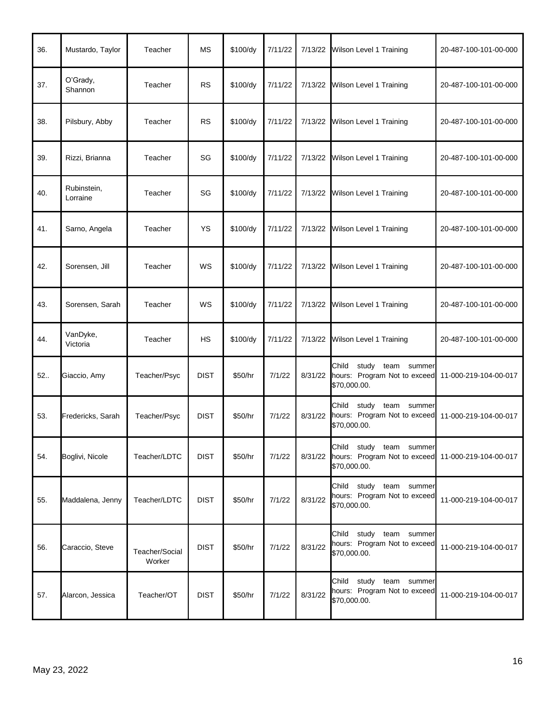| 36. | Mustardo, Taylor        | Teacher                  | МS          | \$100/dy | 7/11/22 | 7/13/22 | Wilson Level 1 Training                                                          | 20-487-100-101-00-000 |
|-----|-------------------------|--------------------------|-------------|----------|---------|---------|----------------------------------------------------------------------------------|-----------------------|
| 37. | O'Grady,<br>Shannon     | Teacher                  | <b>RS</b>   | \$100/dy | 7/11/22 | 7/13/22 | Wilson Level 1 Training                                                          | 20-487-100-101-00-000 |
| 38. | Pilsbury, Abby          | Teacher                  | <b>RS</b>   | \$100/dy | 7/11/22 | 7/13/22 | Wilson Level 1 Training                                                          | 20-487-100-101-00-000 |
| 39. | Rizzi, Brianna          | Teacher                  | SG          | \$100/dy | 7/11/22 | 7/13/22 | Wilson Level 1 Training                                                          | 20-487-100-101-00-000 |
| 40. | Rubinstein,<br>Lorraine | Teacher                  | SG          | \$100/dy | 7/11/22 | 7/13/22 | Wilson Level 1 Training                                                          | 20-487-100-101-00-000 |
| 41. | Sarno, Angela           | Teacher                  | YS          | \$100/dy | 7/11/22 | 7/13/22 | Wilson Level 1 Training                                                          | 20-487-100-101-00-000 |
| 42. | Sorensen, Jill          | Teacher                  | WS          | \$100/dy | 7/11/22 | 7/13/22 | Wilson Level 1 Training                                                          | 20-487-100-101-00-000 |
| 43. | Sorensen, Sarah         | Teacher                  | WS          | \$100/dy | 7/11/22 | 7/13/22 | Wilson Level 1 Training                                                          | 20-487-100-101-00-000 |
| 44. | VanDyke,<br>Victoria    | Teacher                  | <b>HS</b>   | \$100/dy | 7/11/22 | 7/13/22 | Wilson Level 1 Training                                                          | 20-487-100-101-00-000 |
| 52. | Giaccio, Amy            | Teacher/Psyc             | <b>DIST</b> | \$50/hr  | 7/1/22  | 8/31/22 | Child<br>study<br>team summer<br>hours: Program Not to exceed<br>\$70,000.00.    | 11-000-219-104-00-017 |
| 53. | Fredericks, Sarah       | Teacher/Psyc             | <b>DIST</b> | \$50/hr  | 7/1/22  | 8/31/22 | Child<br>study<br>team<br>summer<br>hours: Program Not to exceed<br>\$70,000.00. | 11-000-219-104-00-017 |
| 54. | Boglivi, Nicole         | Teacher/LDTC             | <b>DIST</b> | \$50/hr  | 7/1/22  | 8/31/22 | Child study team summer<br>hours: Program Not to exceed<br>\$70,000.00.          | 11-000-219-104-00-017 |
| 55. | Maddalena, Jenny        | Teacher/LDTC             | <b>DIST</b> | \$50/hr  | 7/1/22  | 8/31/22 | Child study team summer<br>hours: Program Not to exceed<br>\$70,000.00.          | 11-000-219-104-00-017 |
| 56. | Caraccio, Steve         | Teacher/Social<br>Worker | <b>DIST</b> | \$50/hr  | 7/1/22  | 8/31/22 | Child study team summer<br>hours: Program Not to exceed<br>\$70,000.00.          | 11-000-219-104-00-017 |
| 57. | Alarcon, Jessica        | Teacher/OT               | <b>DIST</b> | \$50/hr  | 7/1/22  | 8/31/22 | Child study team summer<br>hours: Program Not to exceed<br>\$70,000.00.          | 11-000-219-104-00-017 |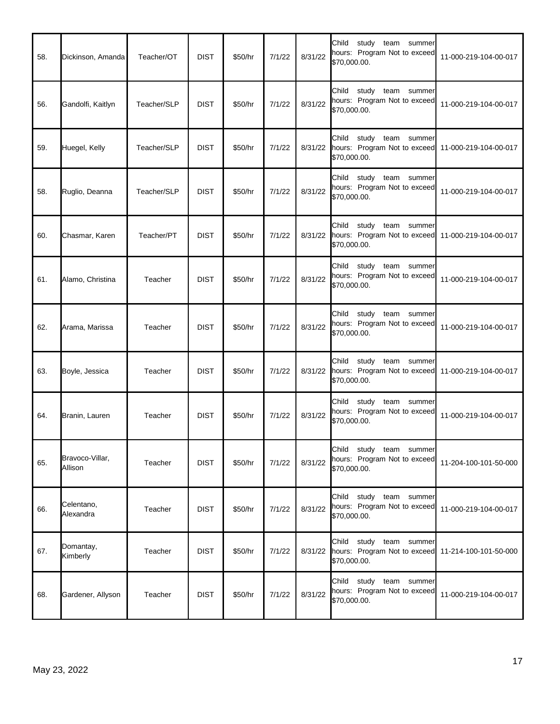| 58. | Dickinson, Amanda          | Teacher/OT  | <b>DIST</b> | \$50/hr | 7/1/22 | 8/31/22 | Child<br>study team summer<br>hours: Program Not to exceed<br>\$70,000.00.                               | 11-000-219-104-00-017 |
|-----|----------------------------|-------------|-------------|---------|--------|---------|----------------------------------------------------------------------------------------------------------|-----------------------|
| 56. | Gandolfi, Kaitlyn          | Teacher/SLP | <b>DIST</b> | \$50/hr | 7/1/22 | 8/31/22 | Child<br>study team summer<br>hours: Program Not to exceed<br>\$70,000.00.                               | 11-000-219-104-00-017 |
| 59. | Huegel, Kelly              | Teacher/SLP | <b>DIST</b> | \$50/hr | 7/1/22 |         | study team summer<br>Child<br>8/31/22 hours: Program Not to exceed 11-000-219-104-00-017<br>\$70,000.00. |                       |
| 58. | Ruglio, Deanna             | Teacher/SLP | <b>DIST</b> | \$50/hr | 7/1/22 | 8/31/22 | study team summer<br>Child<br>hours: Program Not to exceed<br>\$70,000.00.                               | 11-000-219-104-00-017 |
| 60. | Chasmar, Karen             | Teacher/PT  | <b>DIST</b> | \$50/hr | 7/1/22 | 8/31/22 | Child<br>study team summer<br>hours: Program Not to exceed 11-000-219-104-00-017<br>\$70,000.00.         |                       |
| 61. | Alamo, Christina           | Teacher     | <b>DIST</b> | \$50/hr | 7/1/22 | 8/31/22 | study team summer<br>Child<br>hours: Program Not to exceed<br>\$70,000.00.                               | 11-000-219-104-00-017 |
| 62. | Arama, Marissa             | Teacher     | <b>DIST</b> | \$50/hr | 7/1/22 | 8/31/22 | Child<br>study team<br>summer<br>hours: Program Not to exceed<br>\$70,000.00.                            | 11-000-219-104-00-017 |
| 63. | Boyle, Jessica             | Teacher     | <b>DIST</b> | \$50/hr | 7/1/22 | 8/31/22 | Child<br>study<br>team summer<br>hours: Program Not to exceed<br>\$70,000.00.                            | 11-000-219-104-00-017 |
| 64. | Branin, Lauren             | Teacher     | <b>DIST</b> | \$50/hr | 7/1/22 | 8/31/22 | Child<br>study team summer<br>hours: Program Not to exceed<br>\$70,000.00.                               | 11-000-219-104-00-017 |
| 65. | Bravoco-Villar,<br>Allison | Teacher     | <b>DIST</b> | \$50/hr | 7/1/22 | 8/31/22 | Child study team summer<br>hours: Program Not to exceed<br>\$70,000.00.                                  | 11-204-100-101-50-000 |
| 66. | Celentano,<br>Alexandra    | Teacher     | <b>DIST</b> | \$50/hr | 7/1/22 | 8/31/22 | Child<br>study team summer<br>hours: Program Not to exceed<br>\$70,000.00.                               | 11-000-219-104-00-017 |
| 67. | Domantay,<br>Kimberly      | Teacher     | <b>DIST</b> | \$50/hr | 7/1/22 | 8/31/22 | Child<br>study team summer<br>hours: Program Not to exceed<br>\$70,000.00.                               | 11-214-100-101-50-000 |
| 68. | Gardener, Allyson          | Teacher     | <b>DIST</b> | \$50/hr | 7/1/22 | 8/31/22 | Child<br>study team summer<br>hours: Program Not to exceed<br>\$70,000.00.                               | 11-000-219-104-00-017 |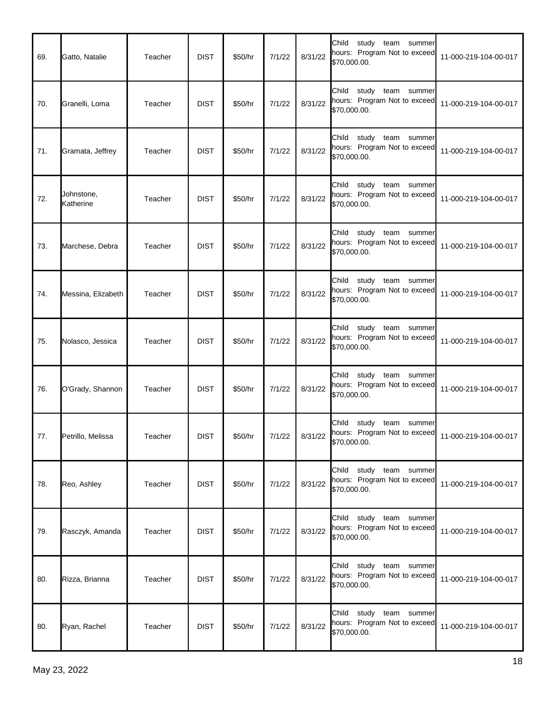| 69. | Gatto, Natalie          | Teacher | <b>DIST</b> | \$50/hr | 7/1/22 | 8/31/22 | Child study team summer<br>hours: Program Not to exceed<br>\$70,000.00.          | 11-000-219-104-00-017 |
|-----|-------------------------|---------|-------------|---------|--------|---------|----------------------------------------------------------------------------------|-----------------------|
| 70. | Granelli, Loma          | Teacher | <b>DIST</b> | \$50/hr | 7/1/22 | 8/31/22 | Child<br>study<br>team<br>summer<br>hours: Program Not to exceed<br>\$70,000.00. | 11-000-219-104-00-017 |
| 71. | Gramata, Jeffrey        | Teacher | <b>DIST</b> | \$50/hr | 7/1/22 | 8/31/22 | Child<br>study team summer<br>hours: Program Not to exceed<br>\$70,000.00.       | 11-000-219-104-00-017 |
| 72. | Johnstone,<br>Katherine | Teacher | <b>DIST</b> | \$50/hr | 7/1/22 | 8/31/22 | Child<br>study team summer<br>hours: Program Not to exceed<br>\$70,000.00.       | 11-000-219-104-00-017 |
| 73. | Marchese, Debra         | Teacher | <b>DIST</b> | \$50/hr | 7/1/22 | 8/31/22 | Child<br>study<br>team<br>summer<br>hours: Program Not to exceed<br>\$70,000.00. | 11-000-219-104-00-017 |
| 74. | Messina, Elizabeth      | Teacher | <b>DIST</b> | \$50/hr | 7/1/22 | 8/31/22 | Child<br>study team summer<br>hours: Program Not to exceed<br>\$70,000.00.       | 11-000-219-104-00-017 |
| 75. | Nolasco, Jessica        | Teacher | <b>DIST</b> | \$50/hr | 7/1/22 | 8/31/22 | Child<br>study team summer<br>hours: Program Not to exceed<br>\$70,000.00.       | 11-000-219-104-00-017 |
| 76. | O'Grady, Shannon        | Teacher | <b>DIST</b> | \$50/hr | 7/1/22 | 8/31/22 | Child<br>study team summer<br>hours: Program Not to exceed<br>\$70,000.00.       | 11-000-219-104-00-017 |
| 77. | Petrillo, Melissa       | Teacher | <b>DIST</b> | \$50/hr | 7/1/22 | 8/31/22 | Child<br>study team<br>summer<br>hours: Program Not to exceed<br>\$70,000.00.    | 11-000-219-104-00-017 |
| 78. | Reo, Ashley             | Teacher | <b>DIST</b> | \$50/hr | 7/1/22 | 8/31/22 | Child study team summer<br>hours: Program Not to exceed<br>\$70,000.00.          | 11-000-219-104-00-017 |
| 79. | Rasczyk, Amanda         | Teacher | <b>DIST</b> | \$50/hr | 7/1/22 | 8/31/22 | Child study team summer<br>hours: Program Not to exceed<br>\$70,000.00.          | 11-000-219-104-00-017 |
| 80. | Rizza, Brianna          | Teacher | <b>DIST</b> | \$50/hr | 7/1/22 | 8/31/22 | Child study team summer<br>hours: Program Not to exceed<br>\$70,000.00.          | 11-000-219-104-00-017 |
| 80. | Ryan, Rachel            | Teacher | <b>DIST</b> | \$50/hr | 7/1/22 | 8/31/22 | Child study team summer<br>hours: Program Not to exceed<br>\$70,000.00.          | 11-000-219-104-00-017 |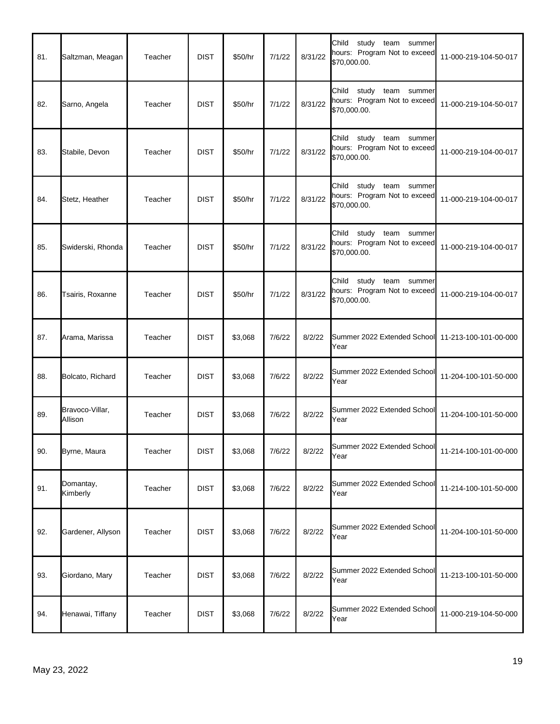| 81. | Saltzman, Meagan           | Teacher | <b>DIST</b> | \$50/hr | 7/1/22 | 8/31/22 | Child study team<br>summer<br>hours: Program Not to exceed<br>\$70,000.00.    | 11-000-219-104-50-017 |
|-----|----------------------------|---------|-------------|---------|--------|---------|-------------------------------------------------------------------------------|-----------------------|
| 82. | Sarno, Angela              | Teacher | <b>DIST</b> | \$50/hr | 7/1/22 | 8/31/22 | study<br>Child<br>team summer<br>hours: Program Not to exceed<br>\$70,000.00. | 11-000-219-104-50-017 |
| 83. | Stabile, Devon             | Teacher | <b>DIST</b> | \$50/hr | 7/1/22 | 8/31/22 | Child<br>study team<br>summer<br>hours: Program Not to exceed<br>\$70,000.00. | 11-000-219-104-00-017 |
| 84. | Stetz, Heather             | Teacher | <b>DIST</b> | \$50/hr | 7/1/22 | 8/31/22 | Child study team<br>summer<br>hours: Program Not to exceed<br>\$70,000.00.    | 11-000-219-104-00-017 |
| 85. | Swiderski, Rhonda          | Teacher | <b>DIST</b> | \$50/hr | 7/1/22 | 8/31/22 | study<br>Child<br>team summer<br>hours: Program Not to exceed<br>\$70,000.00. | 11-000-219-104-00-017 |
| 86. | Tsairis, Roxanne           | Teacher | <b>DIST</b> | \$50/hr | 7/1/22 | 8/31/22 | Child<br>study team<br>summer<br>hours: Program Not to exceed<br>\$70,000.00. | 11-000-219-104-00-017 |
| 87. | Arama, Marissa             | Teacher | <b>DIST</b> | \$3,068 | 7/6/22 | 8/2/22  | Summer 2022 Extended School 11-213-100-101-00-000<br>Year                     |                       |
| 88. | Bolcato, Richard           | Teacher | <b>DIST</b> | \$3,068 | 7/6/22 | 8/2/22  | Summer 2022 Extended School<br>Year                                           | 11-204-100-101-50-000 |
| 89. | Bravoco-Villar,<br>Allison | Teacher | <b>DIST</b> | \$3,068 | 7/6/22 | 8/2/22  | Summer 2022 Extended School<br>Year                                           | 11-204-100-101-50-000 |
| 90. | Byrne, Maura               | Teacher | <b>DIST</b> | \$3,068 | 7/6/22 | 8/2/22  | Summer 2022 Extended School<br>Year                                           | 11-214-100-101-00-000 |
| 91. | Domantay,<br>Kimberly      | Teacher | <b>DIST</b> | \$3,068 | 7/6/22 | 8/2/22  | Summer 2022 Extended School<br>Year                                           | 11-214-100-101-50-000 |
| 92. | Gardener, Allyson          | Teacher | <b>DIST</b> | \$3,068 | 7/6/22 | 8/2/22  | Summer 2022 Extended School<br>Year                                           | 11-204-100-101-50-000 |
| 93. | Giordano, Mary             | Teacher | <b>DIST</b> | \$3,068 | 7/6/22 | 8/2/22  | Summer 2022 Extended School<br>Year                                           | 11-213-100-101-50-000 |
| 94. | Henawai, Tiffany           | Teacher | <b>DIST</b> | \$3,068 | 7/6/22 | 8/2/22  | Summer 2022 Extended School<br>Year                                           | 11-000-219-104-50-000 |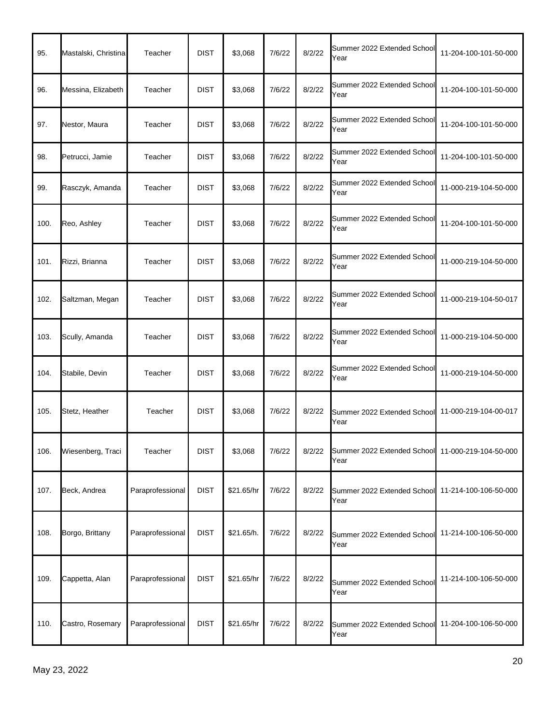| 95.  | Mastalski, Christina | Teacher          | <b>DIST</b> | \$3,068    | 7/6/22 | 8/2/22 | Summer 2022 Extended School<br>Year                       | 11-204-100-101-50-000 |
|------|----------------------|------------------|-------------|------------|--------|--------|-----------------------------------------------------------|-----------------------|
| 96.  | Messina, Elizabeth   | Teacher          | <b>DIST</b> | \$3,068    | 7/6/22 | 8/2/22 | Summer 2022 Extended School<br>Year                       | 11-204-100-101-50-000 |
| 97.  | Nestor, Maura        | Teacher          | <b>DIST</b> | \$3,068    | 7/6/22 | 8/2/22 | Summer 2022 Extended School<br>Year                       | 11-204-100-101-50-000 |
| 98.  | Petrucci, Jamie      | Teacher          | <b>DIST</b> | \$3,068    | 7/6/22 | 8/2/22 | Summer 2022 Extended School<br>Year                       | 11-204-100-101-50-000 |
| 99.  | Rasczyk, Amanda      | Teacher          | <b>DIST</b> | \$3,068    | 7/6/22 | 8/2/22 | Summer 2022 Extended School<br>Year                       | 11-000-219-104-50-000 |
| 100. | Reo, Ashley          | Teacher          | <b>DIST</b> | \$3,068    | 7/6/22 | 8/2/22 | Summer 2022 Extended School<br>Year                       | 11-204-100-101-50-000 |
| 101. | Rizzi, Brianna       | Teacher          | <b>DIST</b> | \$3,068    | 7/6/22 | 8/2/22 | Summer 2022 Extended School<br>Year                       | 11-000-219-104-50-000 |
| 102. | Saltzman, Megan      | Teacher          | <b>DIST</b> | \$3,068    | 7/6/22 | 8/2/22 | Summer 2022 Extended School<br>Year                       | 11-000-219-104-50-017 |
| 103. | Scully, Amanda       | Teacher          | <b>DIST</b> | \$3,068    | 7/6/22 | 8/2/22 | Summer 2022 Extended School<br>Year                       | 11-000-219-104-50-000 |
| 104. | Stabile, Devin       | Teacher          | <b>DIST</b> | \$3,068    | 7/6/22 | 8/2/22 | Summer 2022 Extended School<br>Year                       | 11-000-219-104-50-000 |
| 105. | Stetz, Heather       | Teacher          | <b>DIST</b> | \$3,068    | 7/6/22 | 8/2/22 | Summer 2022 Extended School<br>Year                       | 11-000-219-104-00-017 |
| 106. | Wiesenberg, Traci    | Teacher          | <b>DIST</b> | \$3,068    | 7/6/22 | 8/2/22 | Summer 2022 Extended School 11-000-219-104-50-000<br>Year |                       |
| 107. | Beck, Andrea         | Paraprofessional | <b>DIST</b> | \$21.65/hr | 7/6/22 | 8/2/22 | Summer 2022 Extended School<br>Year                       | 11-214-100-106-50-000 |
| 108. | Borgo, Brittany      | Paraprofessional | <b>DIST</b> | \$21.65/h. | 7/6/22 | 8/2/22 | Summer 2022 Extended School<br>Year                       | 11-214-100-106-50-000 |
| 109. | Cappetta, Alan       | Paraprofessional | <b>DIST</b> | \$21.65/hr | 7/6/22 | 8/2/22 | Summer 2022 Extended School<br>Year                       | 11-214-100-106-50-000 |
| 110. | Castro, Rosemary     | Paraprofessional | <b>DIST</b> | \$21.65/hr | 7/6/22 | 8/2/22 | Summer 2022 Extended School<br>Year                       | 11-204-100-106-50-000 |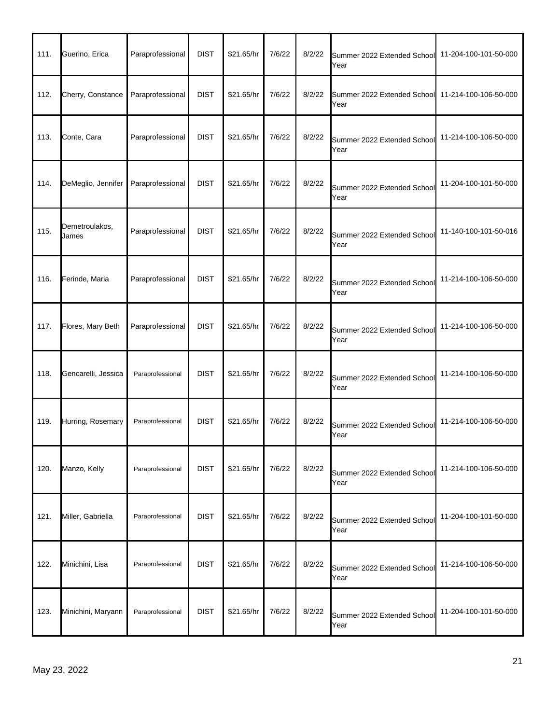| 111. | Guerino, Erica          | Paraprofessional | <b>DIST</b> | \$21.65/hr | 7/6/22 | 8/2/22 | Summer 2022 Extended School<br>Year | 11-204-100-101-50-000 |
|------|-------------------------|------------------|-------------|------------|--------|--------|-------------------------------------|-----------------------|
| 112. | Cherry, Constance       | Paraprofessional | <b>DIST</b> | \$21.65/hr | 7/6/22 | 8/2/22 | Summer 2022 Extended School<br>Year | 11-214-100-106-50-000 |
| 113. | Conte, Cara             | Paraprofessional | <b>DIST</b> | \$21.65/hr | 7/6/22 | 8/2/22 | Summer 2022 Extended School<br>Year | 11-214-100-106-50-000 |
| 114. | DeMeglio, Jennifer      | Paraprofessional | <b>DIST</b> | \$21.65/hr | 7/6/22 | 8/2/22 | Summer 2022 Extended School<br>Year | 11-204-100-101-50-000 |
| 115. | Demetroulakos,<br>James | Paraprofessional | <b>DIST</b> | \$21.65/hr | 7/6/22 | 8/2/22 | Summer 2022 Extended School<br>Year | 11-140-100-101-50-016 |
| 116. | Ferinde, Maria          | Paraprofessional | <b>DIST</b> | \$21.65/hr | 7/6/22 | 8/2/22 | Summer 2022 Extended School<br>Year | 11-214-100-106-50-000 |
| 117. | Flores, Mary Beth       | Paraprofessional | <b>DIST</b> | \$21.65/hr | 7/6/22 | 8/2/22 | Summer 2022 Extended School<br>Year | 11-214-100-106-50-000 |
| 118. | Gencarelli, Jessica     | Paraprofessional | <b>DIST</b> | \$21.65/hr | 7/6/22 | 8/2/22 | Summer 2022 Extended School<br>Year | 11-214-100-106-50-000 |
| 119. | Hurring, Rosemary       | Paraprofessional | <b>DIST</b> | \$21.65/hr | 7/6/22 | 8/2/22 | Summer 2022 Extended School<br>Year | 11-214-100-106-50-000 |
| 120. | Manzo, Kelly            | Paraprofessional | <b>DIST</b> | \$21.65/hr | 7/6/22 | 8/2/22 | Summer 2022 Extended School<br>Year | 11-214-100-106-50-000 |
| 121. | Miller, Gabriella       | Paraprofessional | <b>DIST</b> | \$21.65/hr | 7/6/22 | 8/2/22 | Summer 2022 Extended School<br>Year | 11-204-100-101-50-000 |
| 122. | Minichini, Lisa         | Paraprofessional | <b>DIST</b> | \$21.65/hr | 7/6/22 | 8/2/22 | Summer 2022 Extended School<br>Year | 11-214-100-106-50-000 |
| 123. | Minichini, Maryann      | Paraprofessional | <b>DIST</b> | \$21.65/hr | 7/6/22 | 8/2/22 | Summer 2022 Extended School<br>Year | 11-204-100-101-50-000 |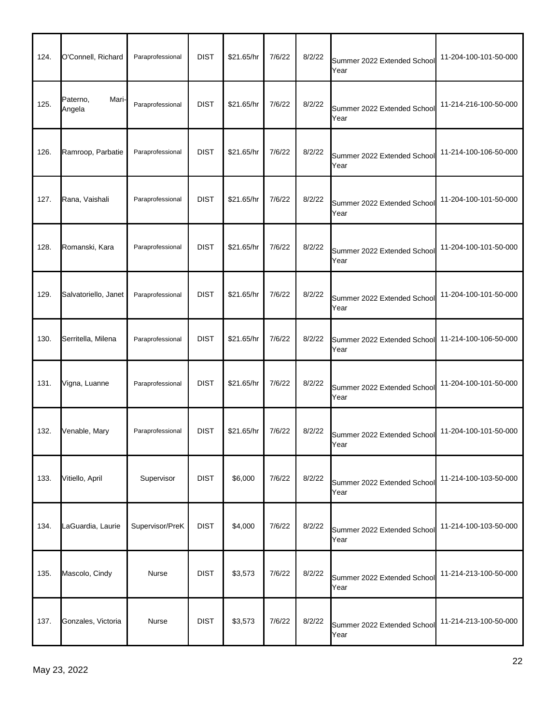| 124. | O'Connell, Richard          | Paraprofessional | <b>DIST</b> | \$21.65/hr | 7/6/22 | 8/2/22 | Summer 2022 Extended School<br>Year | 11-204-100-101-50-000 |
|------|-----------------------------|------------------|-------------|------------|--------|--------|-------------------------------------|-----------------------|
| 125. | Paterno,<br>Mari-<br>Angela | Paraprofessional | <b>DIST</b> | \$21.65/hr | 7/6/22 | 8/2/22 | Summer 2022 Extended School<br>Year | 11-214-216-100-50-000 |
| 126. | Ramroop, Parbatie           | Paraprofessional | <b>DIST</b> | \$21.65/hr | 7/6/22 | 8/2/22 | Summer 2022 Extended School<br>Year | 11-214-100-106-50-000 |
| 127. | Rana, Vaishali              | Paraprofessional | <b>DIST</b> | \$21.65/hr | 7/6/22 | 8/2/22 | Summer 2022 Extended School<br>Year | 11-204-100-101-50-000 |
| 128. | Romanski, Kara              | Paraprofessional | <b>DIST</b> | \$21.65/hr | 7/6/22 | 8/2/22 | Summer 2022 Extended School<br>Year | 11-204-100-101-50-000 |
| 129. | Salvatoriello, Janet        | Paraprofessional | <b>DIST</b> | \$21.65/hr | 7/6/22 | 8/2/22 | Summer 2022 Extended School<br>Year | 11-204-100-101-50-000 |
| 130. | Serritella, Milena          | Paraprofessional | <b>DIST</b> | \$21.65/hr | 7/6/22 | 8/2/22 | Summer 2022 Extended School<br>Year | 11-214-100-106-50-000 |
| 131. | Vigna, Luanne               | Paraprofessional | <b>DIST</b> | \$21.65/hr | 7/6/22 | 8/2/22 | Summer 2022 Extended School<br>Year | 11-204-100-101-50-000 |
| 132. | Venable, Mary               | Paraprofessional | <b>DIST</b> | \$21.65/hr | 7/6/22 | 8/2/22 | Summer 2022 Extended School<br>Year | 11-204-100-101-50-000 |
| 133. | Vitiello, April             | Supervisor       | <b>DIST</b> | \$6,000    | 7/6/22 | 8/2/22 | Summer 2022 Extended School<br>Year | 11-214-100-103-50-000 |
| 134. | LaGuardia, Laurie           | Supervisor/PreK  | <b>DIST</b> | \$4,000    | 7/6/22 | 8/2/22 | Summer 2022 Extended School<br>Year | 11-214-100-103-50-000 |
| 135. | Mascolo, Cindy              | Nurse            | <b>DIST</b> | \$3,573    | 7/6/22 | 8/2/22 | Summer 2022 Extended School<br>Year | 11-214-213-100-50-000 |
| 137. | Gonzales, Victoria          | Nurse            | <b>DIST</b> | \$3,573    | 7/6/22 | 8/2/22 | Summer 2022 Extended School<br>Year | 11-214-213-100-50-000 |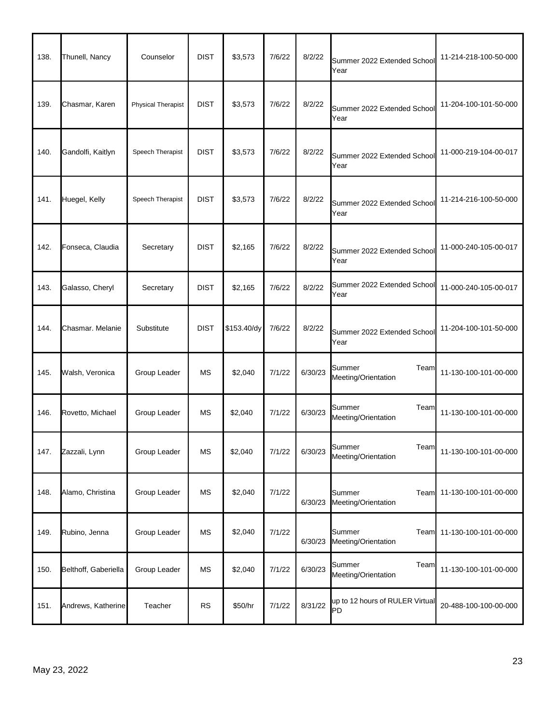| 138. | Thunell, Nancy       | Counselor                 | <b>DIST</b> | \$3,573     | 7/6/22 | 8/2/22  | Summer 2022 Extended School<br>Year    | 11-214-218-100-50-000 |
|------|----------------------|---------------------------|-------------|-------------|--------|---------|----------------------------------------|-----------------------|
| 139. | Chasmar, Karen       | <b>Physical Therapist</b> | <b>DIST</b> | \$3,573     | 7/6/22 | 8/2/22  | Summer 2022 Extended School<br>Year    | 11-204-100-101-50-000 |
| 140. | Gandolfi, Kaitlyn    | Speech Therapist          | <b>DIST</b> | \$3,573     | 7/6/22 | 8/2/22  | Summer 2022 Extended School<br>Year    | 11-000-219-104-00-017 |
| 141. | Huegel, Kelly        | Speech Therapist          | <b>DIST</b> | \$3,573     | 7/6/22 | 8/2/22  | Summer 2022 Extended School<br>Year    | 11-214-216-100-50-000 |
| 142. | Fonseca, Claudia     | Secretary                 | <b>DIST</b> | \$2,165     | 7/6/22 | 8/2/22  | Summer 2022 Extended School<br>Year    | 11-000-240-105-00-017 |
| 143. | Galasso, Cheryl      | Secretary                 | <b>DIST</b> | \$2,165     | 7/6/22 | 8/2/22  | Summer 2022 Extended School<br>Year    | 11-000-240-105-00-017 |
| 144. | Chasmar. Melanie     | Substitute                | <b>DIST</b> | \$153.40/dy | 7/6/22 | 8/2/22  | Summer 2022 Extended School<br>Year    | 11-204-100-101-50-000 |
| 145. | Walsh, Veronica      | Group Leader              | <b>MS</b>   | \$2,040     | 7/1/22 | 6/30/23 | Summer<br>Team<br>Meeting/Orientation  | 11-130-100-101-00-000 |
| 146. | Rovetto, Michael     | Group Leader              | МS          | \$2,040     | 7/1/22 | 6/30/23 | Summer<br>Team<br>Meeting/Orientation  | 11-130-100-101-00-000 |
| 147. | Zazzali, Lynn        | Group Leader              | MS          | \$2,040     | 7/1/22 | 6/30/23 | Summer<br>Team<br>Meeting/Orientation  | 11-130-100-101-00-000 |
| 148. | Alamo, Christina     | Group Leader              | MS          | \$2,040     | 7/1/22 | 6/30/23 | Summer<br>Team<br>Meeting/Orientation  | 11-130-100-101-00-000 |
| 149. | Rubino, Jenna        | Group Leader              | MS          | \$2,040     | 7/1/22 | 6/30/23 | Summer<br>Team<br>Meeting/Orientation  | 11-130-100-101-00-000 |
| 150. | Belthoff, Gaberiella | Group Leader              | MS          | \$2,040     | 7/1/22 | 6/30/23 | Summer<br>Team<br>Meeting/Orientation  | 11-130-100-101-00-000 |
| 151. | Andrews, Katherine   | Teacher                   | RS          | \$50/hr     | 7/1/22 | 8/31/22 | up to 12 hours of RULER Virtual<br>lPD | 20-488-100-100-00-000 |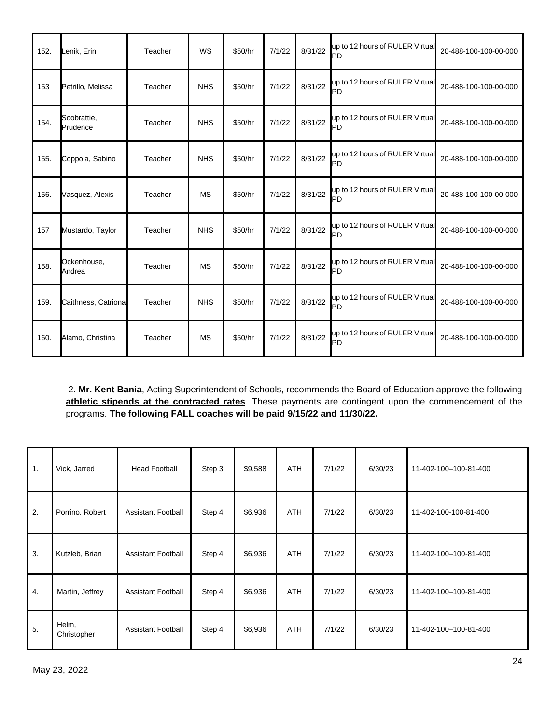| 152. | Lenik, Erin             | Teacher | WS         | \$50/hr | 7/1/22 | 8/31/22 | up to 12 hours of RULER Virtual<br>PD        | 20-488-100-100-00-000 |
|------|-------------------------|---------|------------|---------|--------|---------|----------------------------------------------|-----------------------|
| 153  | Petrillo, Melissa       | Teacher | <b>NHS</b> | \$50/hr | 7/1/22 | 8/31/22 | up to 12 hours of RULER Virtual<br>PD        | 20-488-100-100-00-000 |
| 154. | Soobrattie,<br>Prudence | Teacher | <b>NHS</b> | \$50/hr | 7/1/22 | 8/31/22 | up to 12 hours of RULER Virtual<br>PD        | 20-488-100-100-00-000 |
| 155. | Coppola, Sabino         | Teacher | <b>NHS</b> | \$50/hr | 7/1/22 | 8/31/22 | up to 12 hours of RULER Virtual<br>PD        | 20-488-100-100-00-000 |
| 156. | Vasquez, Alexis         | Teacher | <b>MS</b>  | \$50/hr | 7/1/22 | 8/31/22 | up to 12 hours of RULER Virtual<br>PD        | 20-488-100-100-00-000 |
| 157  | Mustardo, Taylor        | Teacher | <b>NHS</b> | \$50/hr | 7/1/22 | 8/31/22 | up to 12 hours of RULER Virtual<br>PD        | 20-488-100-100-00-000 |
| 158. | Ockenhouse,<br>Andrea   | Teacher | <b>MS</b>  | \$50/hr | 7/1/22 | 8/31/22 | up to 12 hours of RULER Virtual<br>PD        | 20-488-100-100-00-000 |
| 159. | Caithness, Catriona     | Teacher | <b>NHS</b> | \$50/hr | 7/1/22 | 8/31/22 | up to 12 hours of RULER Virtual<br>PD        | 20-488-100-100-00-000 |
| 160. | Alamo, Christina        | Teacher | <b>MS</b>  | \$50/hr | 7/1/22 | 8/31/22 | up to 12 hours of RULER Virtual<br><b>PD</b> | 20-488-100-100-00-000 |

2. **Mr. Kent Bania**, Acting Superintendent of Schools, recommends the Board of Education approve the following **athletic stipends at the contracted rates**. These payments are contingent upon the commencement of the programs. **The following FALL coaches will be paid 9/15/22 and 11/30/22.**

| $\mathbf{1}$ . | Vick, Jarred         | <b>Head Football</b>      | Step 3 | \$9,588 | <b>ATH</b> | 7/1/22 | 6/30/23 | 11-402-100-100-81-400 |
|----------------|----------------------|---------------------------|--------|---------|------------|--------|---------|-----------------------|
| 2.             | Porrino, Robert      | <b>Assistant Football</b> | Step 4 | \$6,936 | <b>ATH</b> | 7/1/22 | 6/30/23 | 11-402-100-100-81-400 |
| 3.             | Kutzleb, Brian       | <b>Assistant Football</b> | Step 4 | \$6,936 | <b>ATH</b> | 7/1/22 | 6/30/23 | 11-402-100-100-81-400 |
| 4.             | Martin, Jeffrey      | <b>Assistant Football</b> | Step 4 | \$6,936 | <b>ATH</b> | 7/1/22 | 6/30/23 | 11-402-100-100-81-400 |
| 5.             | Helm,<br>Christopher | <b>Assistant Football</b> | Step 4 | \$6,936 | <b>ATH</b> | 7/1/22 | 6/30/23 | 11-402-100-100-81-400 |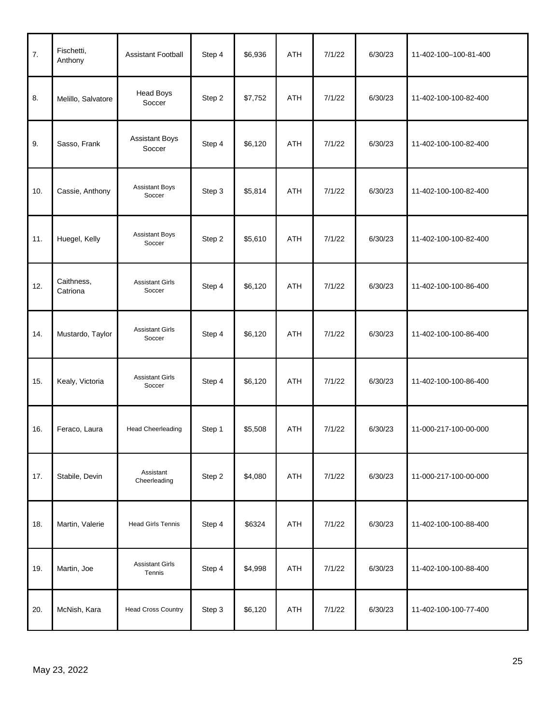| 7.  | Fischetti,<br>Anthony  | <b>Assistant Football</b>        | Step 4 | \$6,936 | ATH        | 7/1/22 | 6/30/23 | 11-402-100-100-81-400 |
|-----|------------------------|----------------------------------|--------|---------|------------|--------|---------|-----------------------|
| 8.  | Melillo, Salvatore     | <b>Head Boys</b><br>Soccer       | Step 2 | \$7,752 | ATH        | 7/1/22 | 6/30/23 | 11-402-100-100-82-400 |
| 9.  | Sasso, Frank           | <b>Assistant Boys</b><br>Soccer  | Step 4 | \$6,120 | <b>ATH</b> | 7/1/22 | 6/30/23 | 11-402-100-100-82-400 |
| 10. | Cassie, Anthony        | <b>Assistant Boys</b><br>Soccer  | Step 3 | \$5,814 | ATH        | 7/1/22 | 6/30/23 | 11-402-100-100-82-400 |
| 11. | Huegel, Kelly          | <b>Assistant Boys</b><br>Soccer  | Step 2 | \$5,610 | ATH        | 7/1/22 | 6/30/23 | 11-402-100-100-82-400 |
| 12. | Caithness,<br>Catriona | <b>Assistant Girls</b><br>Soccer | Step 4 | \$6,120 | ATH        | 7/1/22 | 6/30/23 | 11-402-100-100-86-400 |
| 14. | Mustardo, Taylor       | <b>Assistant Girls</b><br>Soccer | Step 4 | \$6,120 | ATH        | 7/1/22 | 6/30/23 | 11-402-100-100-86-400 |
| 15. | Kealy, Victoria        | <b>Assistant Girls</b><br>Soccer | Step 4 | \$6,120 | ATH        | 7/1/22 | 6/30/23 | 11-402-100-100-86-400 |
| 16. | Feraco, Laura          | <b>Head Cheerleading</b>         | Step 1 | \$5,508 | ATH        | 7/1/22 | 6/30/23 | 11-000-217-100-00-000 |
| 17. | Stabile, Devin         | Assistant<br>Cheerleading        | Step 2 | \$4,080 | ATH        | 7/1/22 | 6/30/23 | 11-000-217-100-00-000 |
| 18. | Martin, Valerie        | <b>Head Girls Tennis</b>         | Step 4 | \$6324  | ATH        | 7/1/22 | 6/30/23 | 11-402-100-100-88-400 |
| 19. | Martin, Joe            | <b>Assistant Girls</b><br>Tennis | Step 4 | \$4,998 | ATH        | 7/1/22 | 6/30/23 | 11-402-100-100-88-400 |
| 20. | McNish, Kara           | <b>Head Cross Country</b>        | Step 3 | \$6,120 | ATH        | 7/1/22 | 6/30/23 | 11-402-100-100-77-400 |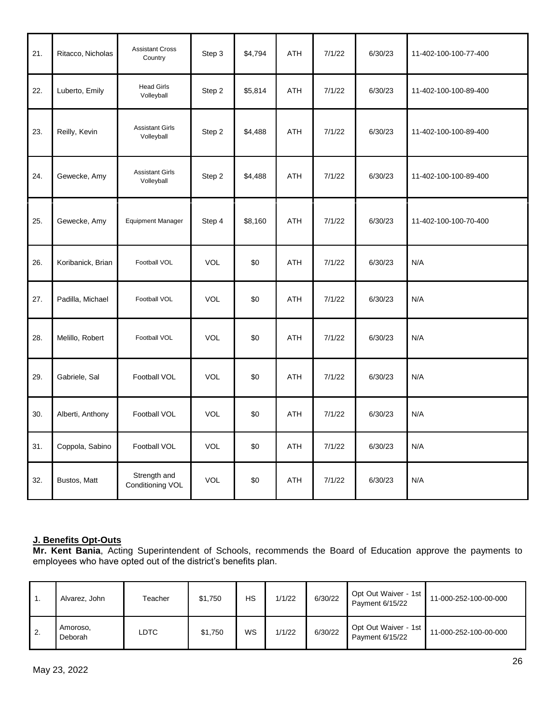| 21. | Ritacco, Nicholas | <b>Assistant Cross</b><br>Country    | Step 3     | \$4,794 | ATH        | 7/1/22 | 6/30/23 | 11-402-100-100-77-400 |
|-----|-------------------|--------------------------------------|------------|---------|------------|--------|---------|-----------------------|
| 22. | Luberto, Emily    | <b>Head Girls</b><br>Volleyball      | Step 2     | \$5,814 | ATH        | 7/1/22 | 6/30/23 | 11-402-100-100-89-400 |
| 23. | Reilly, Kevin     | <b>Assistant Girls</b><br>Volleyball | Step 2     | \$4,488 | ATH        | 7/1/22 | 6/30/23 | 11-402-100-100-89-400 |
| 24. | Gewecke, Amy      | <b>Assistant Girls</b><br>Volleyball | Step 2     | \$4,488 | <b>ATH</b> | 7/1/22 | 6/30/23 | 11-402-100-100-89-400 |
| 25. | Gewecke, Amy      | <b>Equipment Manager</b>             | Step 4     | \$8,160 | ATH        | 7/1/22 | 6/30/23 | 11-402-100-100-70-400 |
| 26. | Koribanick, Brian | Football VOL                         | <b>VOL</b> | \$0     | ATH        | 7/1/22 | 6/30/23 | N/A                   |
| 27. | Padilla, Michael  | Football VOL                         | <b>VOL</b> | \$0     | ATH        | 7/1/22 | 6/30/23 | N/A                   |
| 28. | Melillo, Robert   | Football VOL                         | <b>VOL</b> | \$0     | ATH        | 7/1/22 | 6/30/23 | N/A                   |
| 29. | Gabriele, Sal     | Football VOL                         | <b>VOL</b> | \$0     | ATH        | 7/1/22 | 6/30/23 | N/A                   |
| 30. | Alberti, Anthony  | Football VOL                         | <b>VOL</b> | \$0     | ATH        | 7/1/22 | 6/30/23 | N/A                   |
| 31. | Coppola, Sabino   | Football VOL                         | <b>VOL</b> | \$0     | <b>ATH</b> | 7/1/22 | 6/30/23 | N/A                   |
| 32. | Bustos, Matt      | Strength and<br>Conditioning VOL     | <b>VOL</b> | \$0     | <b>ATH</b> | 7/1/22 | 6/30/23 | N/A                   |

#### **J. Benefits Opt-Outs**

**Mr. Kent Bania**, Acting Superintendent of Schools, recommends the Board of Education approve the payments to employees who have opted out of the district's benefits plan.

| . . | Alvarez, John       | Teacher | \$1.750 | HS | 1/1/22 | 6/30/22 | Opt Out Waiver - 1st<br>Payment 6/15/22 | 11-000-252-100-00-000 |
|-----|---------------------|---------|---------|----|--------|---------|-----------------------------------------|-----------------------|
| 2.  | Amoroso.<br>Deborah | LDTC    | \$1.750 | WS | 1/1/22 | 6/30/22 | Opt Out Waiver - 1st<br>Payment 6/15/22 | 11-000-252-100-00-000 |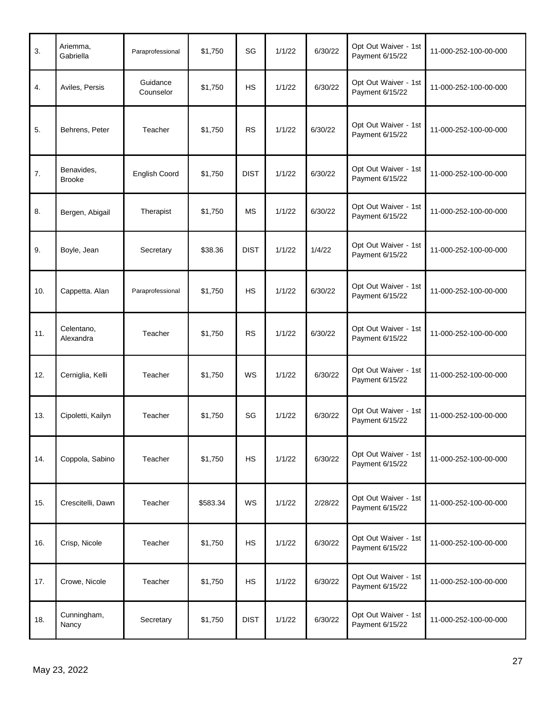| 3.  | Ariemma,<br>Gabriella       | Paraprofessional      | \$1,750  | SG          | 1/1/22 | 6/30/22 | Opt Out Waiver - 1st<br>Payment 6/15/22 | 11-000-252-100-00-000 |
|-----|-----------------------------|-----------------------|----------|-------------|--------|---------|-----------------------------------------|-----------------------|
| 4.  | Aviles, Persis              | Guidance<br>Counselor | \$1,750  | <b>HS</b>   | 1/1/22 | 6/30/22 | Opt Out Waiver - 1st<br>Payment 6/15/22 | 11-000-252-100-00-000 |
| 5.  | Behrens, Peter              | Teacher               | \$1,750  | <b>RS</b>   | 1/1/22 | 6/30/22 | Opt Out Waiver - 1st<br>Payment 6/15/22 | 11-000-252-100-00-000 |
| 7.  | Benavides,<br><b>Brooke</b> | <b>English Coord</b>  | \$1,750  | <b>DIST</b> | 1/1/22 | 6/30/22 | Opt Out Waiver - 1st<br>Payment 6/15/22 | 11-000-252-100-00-000 |
| 8.  | Bergen, Abigail             | Therapist             | \$1,750  | <b>MS</b>   | 1/1/22 | 6/30/22 | Opt Out Waiver - 1st<br>Payment 6/15/22 | 11-000-252-100-00-000 |
| 9.  | Boyle, Jean                 | Secretary             | \$38.36  | <b>DIST</b> | 1/1/22 | 1/4/22  | Opt Out Waiver - 1st<br>Payment 6/15/22 | 11-000-252-100-00-000 |
| 10. | Cappetta. Alan              | Paraprofessional      | \$1,750  | <b>HS</b>   | 1/1/22 | 6/30/22 | Opt Out Waiver - 1st<br>Payment 6/15/22 | 11-000-252-100-00-000 |
| 11. | Celentano,<br>Alexandra     | Teacher               | \$1,750  | <b>RS</b>   | 1/1/22 | 6/30/22 | Opt Out Waiver - 1st<br>Payment 6/15/22 | 11-000-252-100-00-000 |
| 12. | Cerniglia, Kelli            | Teacher               | \$1,750  | WS          | 1/1/22 | 6/30/22 | Opt Out Waiver - 1st<br>Payment 6/15/22 | 11-000-252-100-00-000 |
| 13. | Cipoletti, Kailyn           | Teacher               | \$1,750  | SG          | 1/1/22 | 6/30/22 | Opt Out Waiver - 1st<br>Payment 6/15/22 | 11-000-252-100-00-000 |
| 14. | Coppola, Sabino             | Teacher               | \$1,750  | <b>HS</b>   | 1/1/22 | 6/30/22 | Opt Out Waiver - 1st<br>Payment 6/15/22 | 11-000-252-100-00-000 |
| 15. | Crescitelli, Dawn           | Teacher               | \$583.34 | WS          | 1/1/22 | 2/28/22 | Opt Out Waiver - 1st<br>Payment 6/15/22 | 11-000-252-100-00-000 |
| 16. | Crisp, Nicole               | Teacher               | \$1,750  | <b>HS</b>   | 1/1/22 | 6/30/22 | Opt Out Waiver - 1st<br>Payment 6/15/22 | 11-000-252-100-00-000 |
| 17. | Crowe, Nicole               | Teacher               | \$1,750  | <b>HS</b>   | 1/1/22 | 6/30/22 | Opt Out Waiver - 1st<br>Payment 6/15/22 | 11-000-252-100-00-000 |
| 18. | Cunningham,<br>Nancy        | Secretary             | \$1,750  | <b>DIST</b> | 1/1/22 | 6/30/22 | Opt Out Waiver - 1st<br>Payment 6/15/22 | 11-000-252-100-00-000 |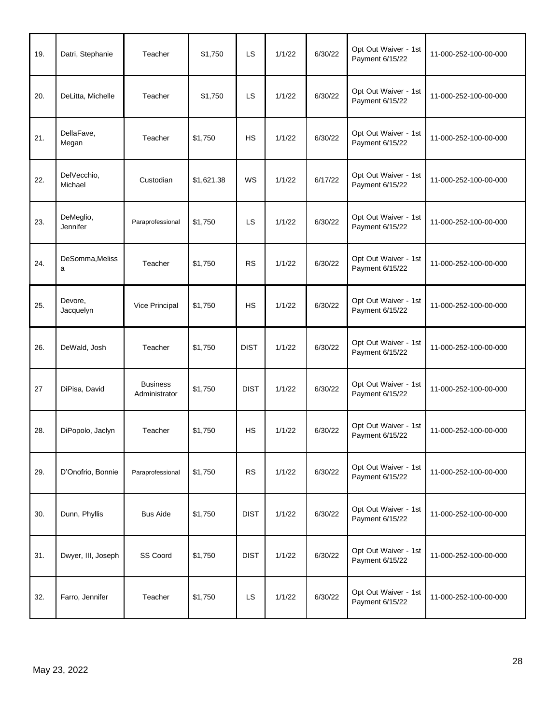| 19. | Datri, Stephanie       | Teacher                          | \$1,750    | LS          | 1/1/22 | 6/30/22 | Opt Out Waiver - 1st<br>Payment 6/15/22 | 11-000-252-100-00-000 |
|-----|------------------------|----------------------------------|------------|-------------|--------|---------|-----------------------------------------|-----------------------|
| 20. | DeLitta, Michelle      | Teacher                          | \$1,750    | LS          | 1/1/22 | 6/30/22 | Opt Out Waiver - 1st<br>Payment 6/15/22 | 11-000-252-100-00-000 |
| 21. | DellaFave,<br>Megan    | Teacher                          | \$1,750    | <b>HS</b>   | 1/1/22 | 6/30/22 | Opt Out Waiver - 1st<br>Payment 6/15/22 | 11-000-252-100-00-000 |
| 22. | DelVecchio,<br>Michael | Custodian                        | \$1,621.38 | WS          | 1/1/22 | 6/17/22 | Opt Out Waiver - 1st<br>Payment 6/15/22 | 11-000-252-100-00-000 |
| 23. | DeMeglio,<br>Jennifer  | Paraprofessional                 | \$1,750    | LS          | 1/1/22 | 6/30/22 | Opt Out Waiver - 1st<br>Payment 6/15/22 | 11-000-252-100-00-000 |
| 24. | DeSomma, Meliss<br>a   | Teacher                          | \$1,750    | <b>RS</b>   | 1/1/22 | 6/30/22 | Opt Out Waiver - 1st<br>Payment 6/15/22 | 11-000-252-100-00-000 |
| 25. | Devore,<br>Jacquelyn   | Vice Principal                   | \$1,750    | <b>HS</b>   | 1/1/22 | 6/30/22 | Opt Out Waiver - 1st<br>Payment 6/15/22 | 11-000-252-100-00-000 |
| 26. | DeWald, Josh           | Teacher                          | \$1,750    | <b>DIST</b> | 1/1/22 | 6/30/22 | Opt Out Waiver - 1st<br>Payment 6/15/22 | 11-000-252-100-00-000 |
| 27  | DiPisa, David          | <b>Business</b><br>Administrator | \$1,750    | <b>DIST</b> | 1/1/22 | 6/30/22 | Opt Out Waiver - 1st<br>Payment 6/15/22 | 11-000-252-100-00-000 |
| 28. | DiPopolo, Jaclyn       | Teacher                          | \$1,750    | <b>HS</b>   | 1/1/22 | 6/30/22 | Opt Out Waiver - 1st<br>Payment 6/15/22 | 11-000-252-100-00-000 |
| 29. | D'Onofrio, Bonnie      | Paraprofessional                 | \$1,750    | RS          | 1/1/22 | 6/30/22 | Opt Out Waiver - 1st<br>Payment 6/15/22 | 11-000-252-100-00-000 |
| 30. | Dunn, Phyllis          | <b>Bus Aide</b>                  | \$1,750    | <b>DIST</b> | 1/1/22 | 6/30/22 | Opt Out Waiver - 1st<br>Payment 6/15/22 | 11-000-252-100-00-000 |
| 31. | Dwyer, III, Joseph     | SS Coord                         | \$1,750    | <b>DIST</b> | 1/1/22 | 6/30/22 | Opt Out Waiver - 1st<br>Payment 6/15/22 | 11-000-252-100-00-000 |
| 32. | Farro, Jennifer        | Teacher                          | \$1,750    | LS          | 1/1/22 | 6/30/22 | Opt Out Waiver - 1st<br>Payment 6/15/22 | 11-000-252-100-00-000 |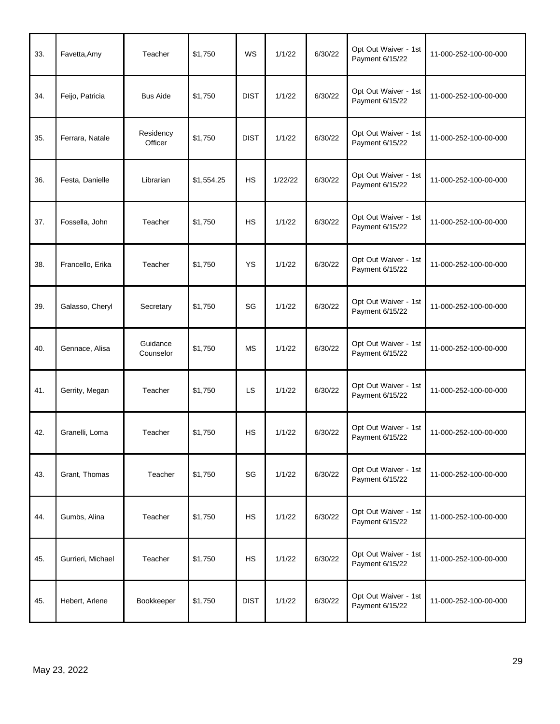| 33. | Favetta, Amy      | Teacher               | \$1,750    | <b>WS</b>   | 1/1/22  | 6/30/22 | Opt Out Waiver - 1st<br>Payment 6/15/22 | 11-000-252-100-00-000 |
|-----|-------------------|-----------------------|------------|-------------|---------|---------|-----------------------------------------|-----------------------|
| 34. | Feijo, Patricia   | <b>Bus Aide</b>       | \$1,750    | <b>DIST</b> | 1/1/22  | 6/30/22 | Opt Out Waiver - 1st<br>Payment 6/15/22 | 11-000-252-100-00-000 |
| 35. | Ferrara, Natale   | Residency<br>Officer  | \$1,750    | <b>DIST</b> | 1/1/22  | 6/30/22 | Opt Out Waiver - 1st<br>Payment 6/15/22 | 11-000-252-100-00-000 |
| 36. | Festa, Danielle   | Librarian             | \$1,554.25 | <b>HS</b>   | 1/22/22 | 6/30/22 | Opt Out Waiver - 1st<br>Payment 6/15/22 | 11-000-252-100-00-000 |
| 37. | Fossella, John    | Teacher               | \$1,750    | <b>HS</b>   | 1/1/22  | 6/30/22 | Opt Out Waiver - 1st<br>Payment 6/15/22 | 11-000-252-100-00-000 |
| 38. | Francello, Erika  | Teacher               | \$1,750    | YS          | 1/1/22  | 6/30/22 | Opt Out Waiver - 1st<br>Payment 6/15/22 | 11-000-252-100-00-000 |
| 39. | Galasso, Cheryl   | Secretary             | \$1,750    | SG          | 1/1/22  | 6/30/22 | Opt Out Waiver - 1st<br>Payment 6/15/22 | 11-000-252-100-00-000 |
| 40. | Gennace, Alisa    | Guidance<br>Counselor | \$1,750    | <b>MS</b>   | 1/1/22  | 6/30/22 | Opt Out Waiver - 1st<br>Payment 6/15/22 | 11-000-252-100-00-000 |
| 41. | Gerrity, Megan    | Teacher               | \$1,750    | LS          | 1/1/22  | 6/30/22 | Opt Out Waiver - 1st<br>Payment 6/15/22 | 11-000-252-100-00-000 |
| 42. | Granelli, Loma    | Teacher               | \$1,750    | <b>HS</b>   | 1/1/22  | 6/30/22 | Opt Out Waiver - 1st<br>Payment 6/15/22 | 11-000-252-100-00-000 |
| 43. | Grant, Thomas     | Teacher               | \$1,750    | SG          | 1/1/22  | 6/30/22 | Opt Out Waiver - 1st<br>Payment 6/15/22 | 11-000-252-100-00-000 |
| 44. | Gumbs, Alina      | Teacher               | \$1,750    | <b>HS</b>   | 1/1/22  | 6/30/22 | Opt Out Waiver - 1st<br>Payment 6/15/22 | 11-000-252-100-00-000 |
| 45. | Gurrieri, Michael | Teacher               | \$1,750    | <b>HS</b>   | 1/1/22  | 6/30/22 | Opt Out Waiver - 1st<br>Payment 6/15/22 | 11-000-252-100-00-000 |
| 45. | Hebert, Arlene    | Bookkeeper            | \$1,750    | <b>DIST</b> | 1/1/22  | 6/30/22 | Opt Out Waiver - 1st<br>Payment 6/15/22 | 11-000-252-100-00-000 |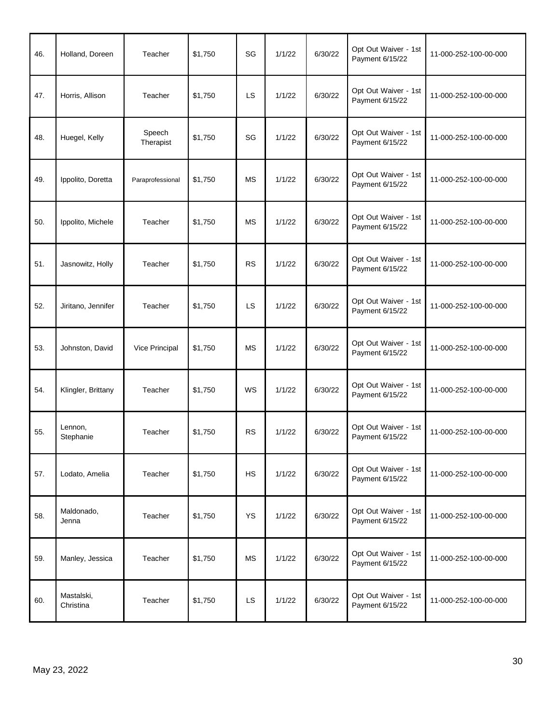| 46. | Holland, Doreen         | Teacher             | \$1,750 | SG        | 1/1/22 | 6/30/22 | Opt Out Waiver - 1st<br>Payment 6/15/22 | 11-000-252-100-00-000 |
|-----|-------------------------|---------------------|---------|-----------|--------|---------|-----------------------------------------|-----------------------|
| 47. | Horris, Allison         | Teacher             | \$1,750 | LS        | 1/1/22 | 6/30/22 | Opt Out Waiver - 1st<br>Payment 6/15/22 | 11-000-252-100-00-000 |
| 48. | Huegel, Kelly           | Speech<br>Therapist | \$1,750 | SG        | 1/1/22 | 6/30/22 | Opt Out Waiver - 1st<br>Payment 6/15/22 | 11-000-252-100-00-000 |
| 49. | Ippolito, Doretta       | Paraprofessional    | \$1,750 | <b>MS</b> | 1/1/22 | 6/30/22 | Opt Out Waiver - 1st<br>Payment 6/15/22 | 11-000-252-100-00-000 |
| 50. | Ippolito, Michele       | Teacher             | \$1,750 | <b>MS</b> | 1/1/22 | 6/30/22 | Opt Out Waiver - 1st<br>Payment 6/15/22 | 11-000-252-100-00-000 |
| 51. | Jasnowitz, Holly        | Teacher             | \$1,750 | <b>RS</b> | 1/1/22 | 6/30/22 | Opt Out Waiver - 1st<br>Payment 6/15/22 | 11-000-252-100-00-000 |
| 52. | Jiritano, Jennifer      | Teacher             | \$1,750 | LS        | 1/1/22 | 6/30/22 | Opt Out Waiver - 1st<br>Payment 6/15/22 | 11-000-252-100-00-000 |
| 53. | Johnston, David         | Vice Principal      | \$1,750 | <b>MS</b> | 1/1/22 | 6/30/22 | Opt Out Waiver - 1st<br>Payment 6/15/22 | 11-000-252-100-00-000 |
| 54. | Klingler, Brittany      | Teacher             | \$1,750 | WS        | 1/1/22 | 6/30/22 | Opt Out Waiver - 1st<br>Payment 6/15/22 | 11-000-252-100-00-000 |
| 55. | Lennon,<br>Stephanie    | Teacher             | \$1,750 | <b>RS</b> | 1/1/22 | 6/30/22 | Opt Out Waiver - 1st<br>Payment 6/15/22 | 11-000-252-100-00-000 |
| 57. | Lodato, Amelia          | Teacher             | \$1,750 | <b>HS</b> | 1/1/22 | 6/30/22 | Opt Out Waiver - 1st<br>Payment 6/15/22 | 11-000-252-100-00-000 |
| 58. | Maldonado,<br>Jenna     | Teacher             | \$1,750 | <b>YS</b> | 1/1/22 | 6/30/22 | Opt Out Waiver - 1st<br>Payment 6/15/22 | 11-000-252-100-00-000 |
| 59. | Manley, Jessica         | Teacher             | \$1,750 | <b>MS</b> | 1/1/22 | 6/30/22 | Opt Out Waiver - 1st<br>Payment 6/15/22 | 11-000-252-100-00-000 |
| 60. | Mastalski,<br>Christina | Teacher             | \$1,750 | LS        | 1/1/22 | 6/30/22 | Opt Out Waiver - 1st<br>Payment 6/15/22 | 11-000-252-100-00-000 |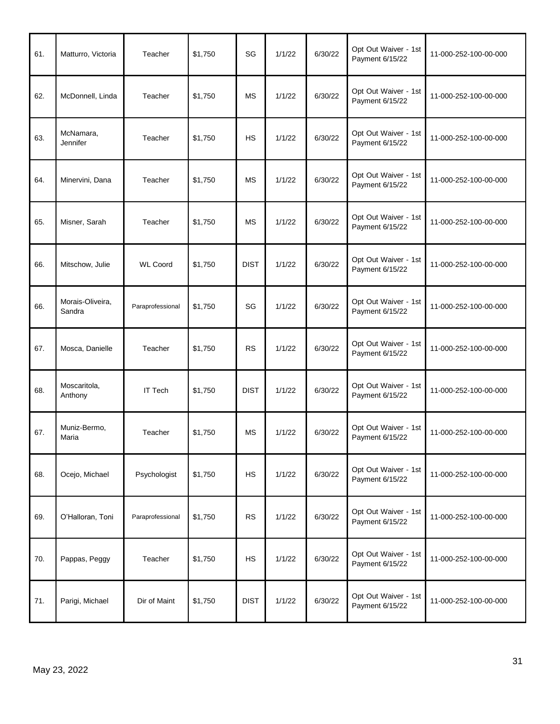| 61. | Matturro, Victoria         | Teacher          | \$1,750 | SG          | 1/1/22 | 6/30/22 | Opt Out Waiver - 1st<br>Payment 6/15/22 | 11-000-252-100-00-000 |
|-----|----------------------------|------------------|---------|-------------|--------|---------|-----------------------------------------|-----------------------|
| 62. | McDonnell, Linda           | Teacher          | \$1,750 | <b>MS</b>   | 1/1/22 | 6/30/22 | Opt Out Waiver - 1st<br>Payment 6/15/22 | 11-000-252-100-00-000 |
| 63. | McNamara,<br>Jennifer      | Teacher          | \$1,750 | <b>HS</b>   | 1/1/22 | 6/30/22 | Opt Out Waiver - 1st<br>Payment 6/15/22 | 11-000-252-100-00-000 |
| 64. | Minervini, Dana            | Teacher          | \$1,750 | <b>MS</b>   | 1/1/22 | 6/30/22 | Opt Out Waiver - 1st<br>Payment 6/15/22 | 11-000-252-100-00-000 |
| 65. | Misner, Sarah              | Teacher          | \$1,750 | <b>MS</b>   | 1/1/22 | 6/30/22 | Opt Out Waiver - 1st<br>Payment 6/15/22 | 11-000-252-100-00-000 |
| 66. | Mitschow, Julie            | <b>WL Coord</b>  | \$1,750 | <b>DIST</b> | 1/1/22 | 6/30/22 | Opt Out Waiver - 1st<br>Payment 6/15/22 | 11-000-252-100-00-000 |
| 66. | Morais-Oliveira,<br>Sandra | Paraprofessional | \$1,750 | SG          | 1/1/22 | 6/30/22 | Opt Out Waiver - 1st<br>Payment 6/15/22 | 11-000-252-100-00-000 |
| 67. | Mosca, Danielle            | Teacher          | \$1,750 | <b>RS</b>   | 1/1/22 | 6/30/22 | Opt Out Waiver - 1st<br>Payment 6/15/22 | 11-000-252-100-00-000 |
| 68. | Moscaritola,<br>Anthony    | <b>IT Tech</b>   | \$1,750 | <b>DIST</b> | 1/1/22 | 6/30/22 | Opt Out Waiver - 1st<br>Payment 6/15/22 | 11-000-252-100-00-000 |
| 67. | Muniz-Bermo,<br>Maria      | Teacher          | \$1,750 | <b>MS</b>   | 1/1/22 | 6/30/22 | Opt Out Waiver - 1st<br>Payment 6/15/22 | 11-000-252-100-00-000 |
| 68. | Ocejo, Michael             | Psychologist     | \$1,750 | <b>HS</b>   | 1/1/22 | 6/30/22 | Opt Out Waiver - 1st<br>Payment 6/15/22 | 11-000-252-100-00-000 |
| 69. | O'Halloran, Toni           | Paraprofessional | \$1,750 | <b>RS</b>   | 1/1/22 | 6/30/22 | Opt Out Waiver - 1st<br>Payment 6/15/22 | 11-000-252-100-00-000 |
| 70. | Pappas, Peggy              | Teacher          | \$1,750 | <b>HS</b>   | 1/1/22 | 6/30/22 | Opt Out Waiver - 1st<br>Payment 6/15/22 | 11-000-252-100-00-000 |
| 71. | Parigi, Michael            | Dir of Maint     | \$1,750 | <b>DIST</b> | 1/1/22 | 6/30/22 | Opt Out Waiver - 1st<br>Payment 6/15/22 | 11-000-252-100-00-000 |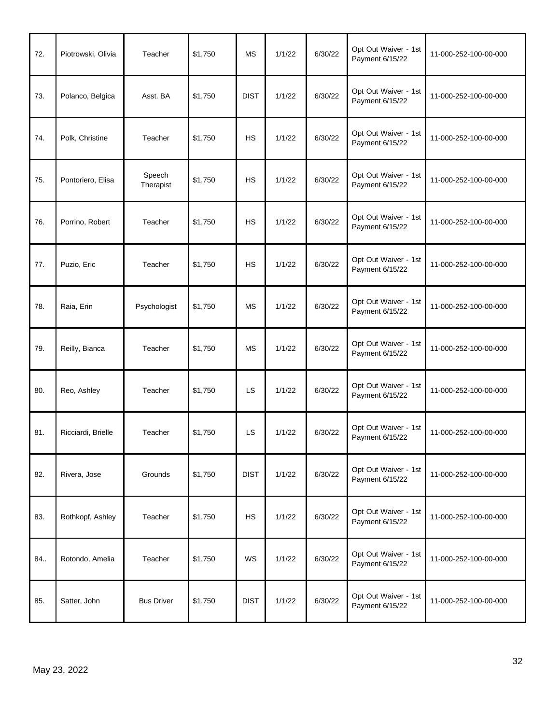| 72. | Piotrowski, Olivia | Teacher             | \$1,750 | <b>MS</b>   | 1/1/22 | 6/30/22 | Opt Out Waiver - 1st<br>Payment 6/15/22 | 11-000-252-100-00-000 |
|-----|--------------------|---------------------|---------|-------------|--------|---------|-----------------------------------------|-----------------------|
| 73. | Polanco, Belgica   | Asst. BA            | \$1,750 | <b>DIST</b> | 1/1/22 | 6/30/22 | Opt Out Waiver - 1st<br>Payment 6/15/22 | 11-000-252-100-00-000 |
| 74. | Polk, Christine    | Teacher             | \$1,750 | HS          | 1/1/22 | 6/30/22 | Opt Out Waiver - 1st<br>Payment 6/15/22 | 11-000-252-100-00-000 |
| 75. | Pontoriero, Elisa  | Speech<br>Therapist | \$1,750 | <b>HS</b>   | 1/1/22 | 6/30/22 | Opt Out Waiver - 1st<br>Payment 6/15/22 | 11-000-252-100-00-000 |
| 76. | Porrino, Robert    | Teacher             | \$1,750 | <b>HS</b>   | 1/1/22 | 6/30/22 | Opt Out Waiver - 1st<br>Payment 6/15/22 | 11-000-252-100-00-000 |
| 77. | Puzio, Eric        | Teacher             | \$1,750 | HS          | 1/1/22 | 6/30/22 | Opt Out Waiver - 1st<br>Payment 6/15/22 | 11-000-252-100-00-000 |
| 78. | Raia, Erin         | Psychologist        | \$1,750 | <b>MS</b>   | 1/1/22 | 6/30/22 | Opt Out Waiver - 1st<br>Payment 6/15/22 | 11-000-252-100-00-000 |
| 79. | Reilly, Bianca     | Teacher             | \$1,750 | <b>MS</b>   | 1/1/22 | 6/30/22 | Opt Out Waiver - 1st<br>Payment 6/15/22 | 11-000-252-100-00-000 |
| 80. | Reo, Ashley        | Teacher             | \$1,750 | LS          | 1/1/22 | 6/30/22 | Opt Out Waiver - 1st<br>Payment 6/15/22 | 11-000-252-100-00-000 |
| 81. | Ricciardi, Brielle | Teacher             | \$1,750 | LS          | 1/1/22 | 6/30/22 | Opt Out Waiver - 1st<br>Payment 6/15/22 | 11-000-252-100-00-000 |
| 82. | Rivera, Jose       | Grounds             | \$1,750 | <b>DIST</b> | 1/1/22 | 6/30/22 | Opt Out Waiver - 1st<br>Payment 6/15/22 | 11-000-252-100-00-000 |
| 83. | Rothkopf, Ashley   | Teacher             | \$1,750 | <b>HS</b>   | 1/1/22 | 6/30/22 | Opt Out Waiver - 1st<br>Payment 6/15/22 | 11-000-252-100-00-000 |
| 84  | Rotondo, Amelia    | Teacher             | \$1,750 | WS          | 1/1/22 | 6/30/22 | Opt Out Waiver - 1st<br>Payment 6/15/22 | 11-000-252-100-00-000 |
| 85. | Satter, John       | <b>Bus Driver</b>   | \$1,750 | <b>DIST</b> | 1/1/22 | 6/30/22 | Opt Out Waiver - 1st<br>Payment 6/15/22 | 11-000-252-100-00-000 |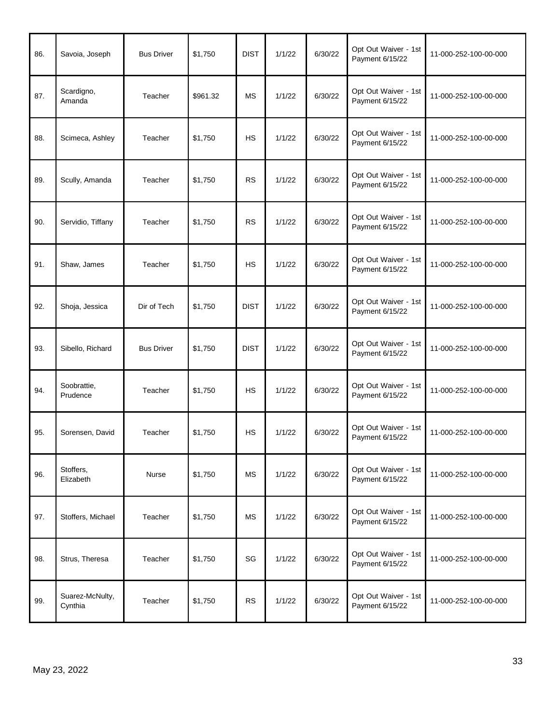| 86. | Savoia, Joseph             | <b>Bus Driver</b> | \$1,750  | <b>DIST</b> | 1/1/22 | 6/30/22 | Opt Out Waiver - 1st<br>Payment 6/15/22 | 11-000-252-100-00-000 |
|-----|----------------------------|-------------------|----------|-------------|--------|---------|-----------------------------------------|-----------------------|
| 87. | Scardigno,<br>Amanda       | Teacher           | \$961.32 | <b>MS</b>   | 1/1/22 | 6/30/22 | Opt Out Waiver - 1st<br>Payment 6/15/22 | 11-000-252-100-00-000 |
| 88. | Scimeca, Ashley            | Teacher           | \$1,750  | <b>HS</b>   | 1/1/22 | 6/30/22 | Opt Out Waiver - 1st<br>Payment 6/15/22 | 11-000-252-100-00-000 |
| 89. | Scully, Amanda             | Teacher           | \$1,750  | <b>RS</b>   | 1/1/22 | 6/30/22 | Opt Out Waiver - 1st<br>Payment 6/15/22 | 11-000-252-100-00-000 |
| 90. | Servidio, Tiffany          | Teacher           | \$1,750  | <b>RS</b>   | 1/1/22 | 6/30/22 | Opt Out Waiver - 1st<br>Payment 6/15/22 | 11-000-252-100-00-000 |
| 91. | Shaw, James                | Teacher           | \$1,750  | <b>HS</b>   | 1/1/22 | 6/30/22 | Opt Out Waiver - 1st<br>Payment 6/15/22 | 11-000-252-100-00-000 |
| 92. | Shoja, Jessica             | Dir of Tech       | \$1,750  | <b>DIST</b> | 1/1/22 | 6/30/22 | Opt Out Waiver - 1st<br>Payment 6/15/22 | 11-000-252-100-00-000 |
| 93. | Sibello, Richard           | <b>Bus Driver</b> | \$1,750  | <b>DIST</b> | 1/1/22 | 6/30/22 | Opt Out Waiver - 1st<br>Payment 6/15/22 | 11-000-252-100-00-000 |
| 94. | Soobrattie,<br>Prudence    | Teacher           | \$1,750  | <b>HS</b>   | 1/1/22 | 6/30/22 | Opt Out Waiver - 1st<br>Payment 6/15/22 | 11-000-252-100-00-000 |
| 95. | Sorensen, David            | Teacher           | \$1,750  | <b>HS</b>   | 1/1/22 | 6/30/22 | Opt Out Waiver - 1st<br>Payment 6/15/22 | 11-000-252-100-00-000 |
| 96. | Stoffers,<br>Elizabeth     | Nurse             | \$1,750  | <b>MS</b>   | 1/1/22 | 6/30/22 | Opt Out Waiver - 1st<br>Payment 6/15/22 | 11-000-252-100-00-000 |
| 97. | Stoffers, Michael          | Teacher           | \$1,750  | <b>MS</b>   | 1/1/22 | 6/30/22 | Opt Out Waiver - 1st<br>Payment 6/15/22 | 11-000-252-100-00-000 |
| 98. | Strus, Theresa             | Teacher           | \$1,750  | SG          | 1/1/22 | 6/30/22 | Opt Out Waiver - 1st<br>Payment 6/15/22 | 11-000-252-100-00-000 |
| 99. | Suarez-McNulty,<br>Cynthia | Teacher           | \$1,750  | <b>RS</b>   | 1/1/22 | 6/30/22 | Opt Out Waiver - 1st<br>Payment 6/15/22 | 11-000-252-100-00-000 |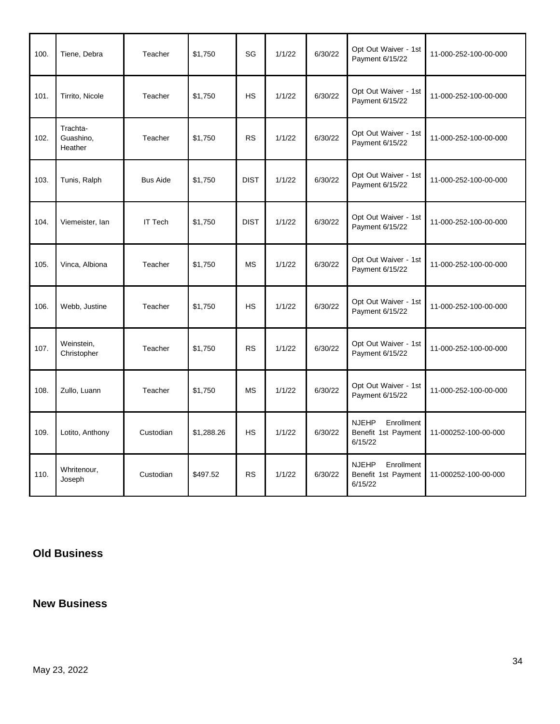| 100. | Tiene, Debra                     | Teacher         | \$1,750    | SG          | 1/1/22 | 6/30/22 | Opt Out Waiver - 1st<br>Payment 6/15/22                      | 11-000-252-100-00-000 |
|------|----------------------------------|-----------------|------------|-------------|--------|---------|--------------------------------------------------------------|-----------------------|
| 101. | Tirrito, Nicole                  | Teacher         | \$1,750    | <b>HS</b>   | 1/1/22 | 6/30/22 | Opt Out Waiver - 1st<br>Payment 6/15/22                      | 11-000-252-100-00-000 |
| 102. | Trachta-<br>Guashino,<br>Heather | Teacher         | \$1,750    | <b>RS</b>   | 1/1/22 | 6/30/22 | Opt Out Waiver - 1st<br>Payment 6/15/22                      | 11-000-252-100-00-000 |
| 103. | Tunis, Ralph                     | <b>Bus Aide</b> | \$1,750    | <b>DIST</b> | 1/1/22 | 6/30/22 | Opt Out Waiver - 1st<br>Payment 6/15/22                      | 11-000-252-100-00-000 |
| 104. | Viemeister, lan                  | <b>IT Tech</b>  | \$1,750    | <b>DIST</b> | 1/1/22 | 6/30/22 | Opt Out Waiver - 1st<br>Payment 6/15/22                      | 11-000-252-100-00-000 |
| 105. | Vinca, Albiona                   | Teacher         | \$1,750    | <b>MS</b>   | 1/1/22 | 6/30/22 | Opt Out Waiver - 1st<br>Payment 6/15/22                      | 11-000-252-100-00-000 |
| 106. | Webb, Justine                    | Teacher         | \$1,750    | <b>HS</b>   | 1/1/22 | 6/30/22 | Opt Out Waiver - 1st<br>Payment 6/15/22                      | 11-000-252-100-00-000 |
| 107. | Weinstein,<br>Christopher        | Teacher         | \$1,750    | <b>RS</b>   | 1/1/22 | 6/30/22 | Opt Out Waiver - 1st<br>Payment 6/15/22                      | 11-000-252-100-00-000 |
| 108. | Zullo, Luann                     | Teacher         | \$1,750    | <b>MS</b>   | 1/1/22 | 6/30/22 | Opt Out Waiver - 1st<br>Payment 6/15/22                      | 11-000-252-100-00-000 |
| 109. | Lotito, Anthony                  | Custodian       | \$1,288.26 | <b>HS</b>   | 1/1/22 | 6/30/22 | Enrollment<br><b>NJEHP</b><br>Benefit 1st Payment<br>6/15/22 | 11-000252-100-00-000  |
| 110. | Whritenour,<br>Joseph            | Custodian       | \$497.52   | <b>RS</b>   | 1/1/22 | 6/30/22 | <b>NJEHP</b><br>Enrollment<br>Benefit 1st Payment<br>6/15/22 | 11-000252-100-00-000  |

# **Old Business**

## **New Business**